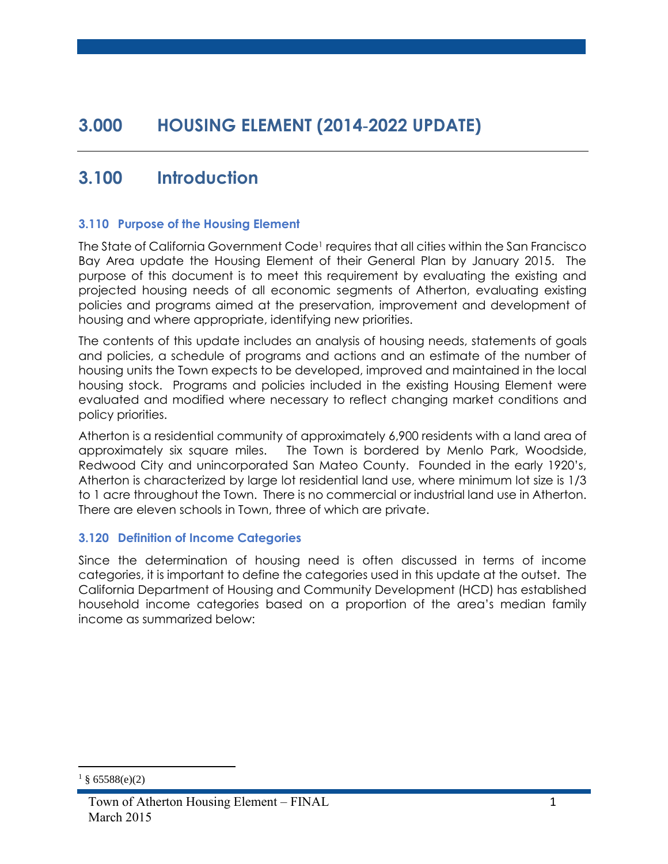# **3.000 HOUSING ELEMENT (2014-2022 UPDATE)**

# **3.100 Introduction**

#### **3.110 Purpose of the Housing Element**

The State of California Government Code<sup>1</sup> requires that all cities within the San Francisco Bay Area update the Housing Element of their General Plan by January 2015. The purpose of this document is to meet this requirement by evaluating the existing and projected housing needs of all economic segments of Atherton, evaluating existing policies and programs aimed at the preservation, improvement and development of housing and where appropriate, identifying new priorities.

The contents of this update includes an analysis of housing needs, statements of goals and policies, a schedule of programs and actions and an estimate of the number of housing units the Town expects to be developed, improved and maintained in the local housing stock. Programs and policies included in the existing Housing Element were evaluated and modified where necessary to reflect changing market conditions and policy priorities.

Atherton is a residential community of approximately 6,900 residents with a land area of approximately six square miles. The Town is bordered by Menlo Park, Woodside, Redwood City and unincorporated San Mateo County. Founded in the early 1920's, Atherton is characterized by large lot residential land use, where minimum lot size is 1/3 to 1 acre throughout the Town. There is no commercial or industrial land use in Atherton. There are eleven schools in Town, three of which are private.

#### **3.120 Definition of Income Categories**

Since the determination of housing need is often discussed in terms of income categories, it is important to define the categories used in this update at the outset. The California Department of Housing and Community Development (HCD) has established household income categories based on a proportion of the area's median family income as summarized below:

 $\overline{a}$ 

 $§ 65588(e)(2)$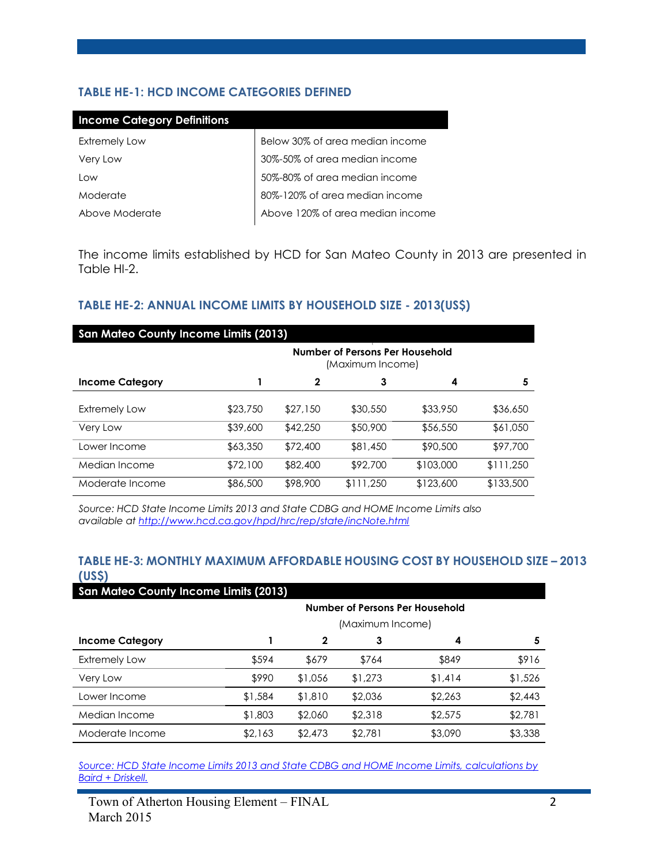# **TABLE HE-1: HCD INCOME CATEGORIES DEFINED**

| Below 30% of area median income  |
|----------------------------------|
| 30%-50% of area median income    |
| 50%-80% of area median income    |
| 80%-120% of area median income   |
| Above 120% of area median income |
|                                  |

The income limits established by HCD for San Mateo County in 2013 are presented in Table HI-2.

### **TABLE HE-2: ANNUAL INCOME LIMITS BY HOUSEHOLD SIZE - 2013(US\$)**

| <b>San Mateo County Income Limits (2013)</b> |                                                     |              |           |           |           |  |  |  |  |  |
|----------------------------------------------|-----------------------------------------------------|--------------|-----------|-----------|-----------|--|--|--|--|--|
|                                              | Number of Persons Per Household<br>(Maximum Income) |              |           |           |           |  |  |  |  |  |
| <b>Income Category</b>                       |                                                     | $\mathbf{2}$ | 3         | 4         | 5         |  |  |  |  |  |
|                                              |                                                     |              |           |           |           |  |  |  |  |  |
| <b>Extremely Low</b>                         | \$23,750                                            | \$27.150     | \$30,550  | \$33,950  | \$36,650  |  |  |  |  |  |
| Very Low                                     | \$39,600                                            | \$42,250     | \$50,900  | \$56,550  | \$61,050  |  |  |  |  |  |
| Lower Income                                 | \$63,350                                            | \$72,400     | \$81,450  | \$90,500  | \$97,700  |  |  |  |  |  |
| Median Income                                | \$72,100                                            | \$82,400     | \$92,700  | \$103,000 | \$111,250 |  |  |  |  |  |
| Moderate Income                              | \$86,500                                            | \$98,900     | \$111,250 | \$123,600 | \$133,500 |  |  |  |  |  |

*Source: HCD State Income Limits 2013 and State CDBG and HOME Income Limits also available at<http://www.hcd.ca.gov/hpd/hrc/rep/state/incNote.html>*

#### **TABLE HE-3: MONTHLY MAXIMUM AFFORDABLE HOUSING COST BY HOUSEHOLD SIZE – 2013 (US\$)**

| <b>San Mateo County Income Limits (2013)</b> |         |             |                  |                                        |         |  |  |  |  |  |
|----------------------------------------------|---------|-------------|------------------|----------------------------------------|---------|--|--|--|--|--|
|                                              |         |             |                  | <b>Number of Persons Per Household</b> |         |  |  |  |  |  |
|                                              |         |             | (Maximum Income) |                                        |         |  |  |  |  |  |
| <b>Income Category</b>                       |         | $\mathbf 2$ | 3                | 4                                      | 5       |  |  |  |  |  |
| <b>Extremely Low</b>                         | \$594   | \$679       | \$764            | \$849                                  | \$916   |  |  |  |  |  |
| Very Low                                     | \$990   | \$1,056     | \$1,273          | \$1,414                                | \$1,526 |  |  |  |  |  |
| Lower Income                                 | \$1,584 | \$1,810     | \$2,036          | \$2,263                                | \$2,443 |  |  |  |  |  |
| Median Income                                | \$1,803 | \$2,060     | \$2,318          | \$2,575                                | \$2,781 |  |  |  |  |  |
| Moderate Income                              | \$2,163 | \$2,473     | \$2,781          | \$3,090                                | \$3,338 |  |  |  |  |  |

*[Source: HCD State Income Limits 2013 and State CDBG and HOME Income Limits, calculations by](http://www.hcd.ca.gov/hpd/hrc/rep/state/incNote.html)  [Baird + Driskell.](http://www.hcd.ca.gov/hpd/hrc/rep/state/incNote.html)*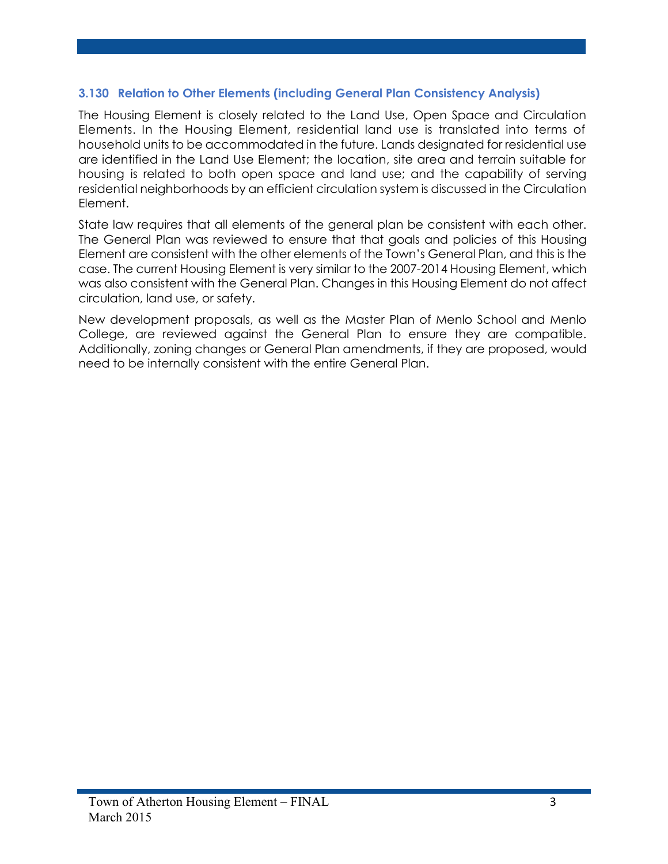### **3.130 Relation to Other Elements (including General Plan Consistency Analysis)**

The Housing Element is closely related to the Land Use, Open Space and Circulation Elements. In the Housing Element, residential land use is translated into terms of household units to be accommodated in the future. Lands designated for residential use are identified in the Land Use Element; the location, site area and terrain suitable for housing is related to both open space and land use; and the capability of serving residential neighborhoods by an efficient circulation system is discussed in the Circulation Element.

State law requires that all elements of the general plan be consistent with each other. The General Plan was reviewed to ensure that that goals and policies of this Housing Element are consistent with the other elements of the Town's General Plan, and this is the case. The current Housing Element is very similar to the 2007-2014 Housing Element, which was also consistent with the General Plan. Changes in this Housing Element do not affect circulation, land use, or safety.

New development proposals, as well as the Master Plan of Menlo School and Menlo College, are reviewed against the General Plan to ensure they are compatible. Additionally, zoning changes or General Plan amendments, if they are proposed, would need to be internally consistent with the entire General Plan.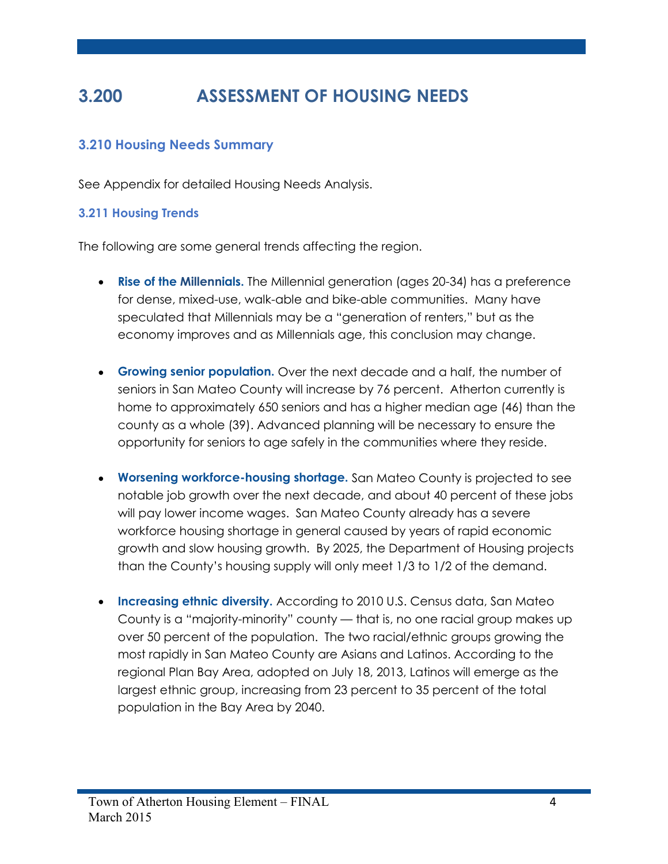# **3.200 ASSESSMENT OF HOUSING NEEDS**

# **3.210 Housing Needs Summary**

See Appendix for detailed Housing Needs Analysis.

#### **3.211 Housing Trends**

The following are some general trends affecting the region.

- **Rise of the Millennials.** The Millennial generation (ages 20-34) has a preference for dense, mixed-use, walk-able and bike-able communities. Many have speculated that Millennials may be a "generation of renters," but as the economy improves and as Millennials age, this conclusion may change.
- **Growing senior population.** Over the next decade and a half, the number of seniors in San Mateo County will increase by 76 percent. Atherton currently is home to approximately 650 seniors and has a higher median age (46) than the county as a whole (39). Advanced planning will be necessary to ensure the opportunity for seniors to age safely in the communities where they reside.
- **Worsening workforce-housing shortage.** San Mateo County is projected to see notable job growth over the next decade, and about 40 percent of these jobs will pay lower income wages. San Mateo County already has a severe workforce housing shortage in general caused by years of rapid economic growth and slow housing growth. By 2025, the Department of Housing projects than the County's housing supply will only meet 1/3 to 1/2 of the demand.
- **Increasing ethnic diversity.** According to 2010 U.S. Census data, San Mateo County is a "majority-minority" county — that is, no one racial group makes up over 50 percent of the population. The two racial/ethnic groups growing the most rapidly in San Mateo County are Asians and Latinos. According to the regional Plan Bay Area, adopted on July 18, 2013, Latinos will emerge as the largest ethnic group, increasing from 23 percent to 35 percent of the total population in the Bay Area by 2040.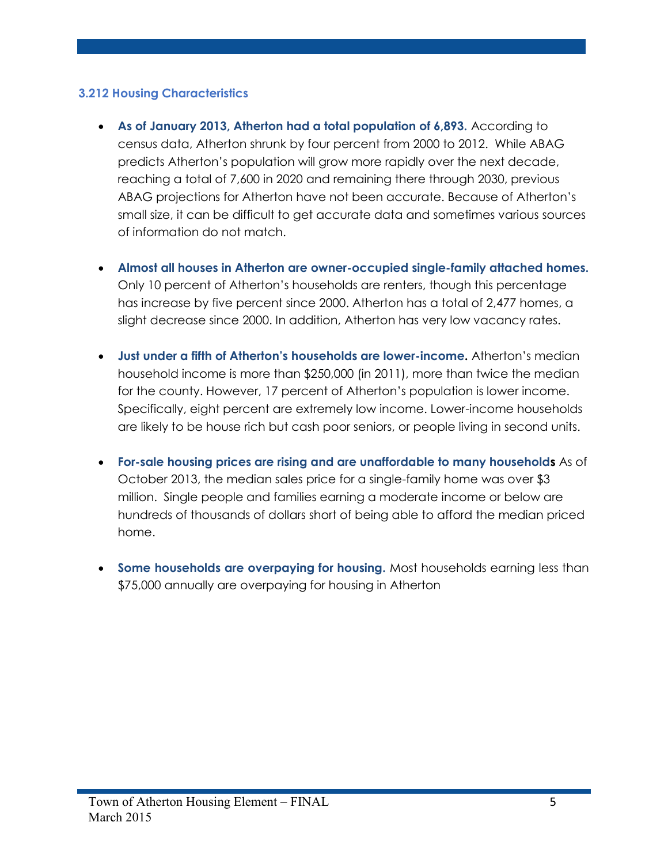# **3.212 Housing Characteristics**

- **As of January 2013, Atherton had a total population of 6,893.** According to census data, Atherton shrunk by four percent from 2000 to 2012. While ABAG predicts Atherton's population will grow more rapidly over the next decade, reaching a total of 7,600 in 2020 and remaining there through 2030, previous ABAG projections for Atherton have not been accurate. Because of Atherton's small size, it can be difficult to get accurate data and sometimes various sources of information do not match.
- **Almost all houses in Atherton are owner-occupied single-family attached homes.**  Only 10 percent of Atherton's households are renters, though this percentage has increase by five percent since 2000. Atherton has a total of 2,477 homes, a slight decrease since 2000. In addition, Atherton has very low vacancy rates.
- **Just under a fifth of Atherton's households are lower-income.** Atherton's median household income is more than \$250,000 (in 2011), more than twice the median for the county. However, 17 percent of Atherton's population is lower income. Specifically, eight percent are extremely low income. Lower-income households are likely to be house rich but cash poor seniors, or people living in second units.
- **For-sale housing prices are rising and are unaffordable to many households** As of October 2013, the median sales price for a single-family home was over \$3 million. Single people and families earning a moderate income or below are hundreds of thousands of dollars short of being able to afford the median priced home.
- **Some households are overpaying for housing.** Most households earning less than \$75,000 annually are overpaying for housing in Atherton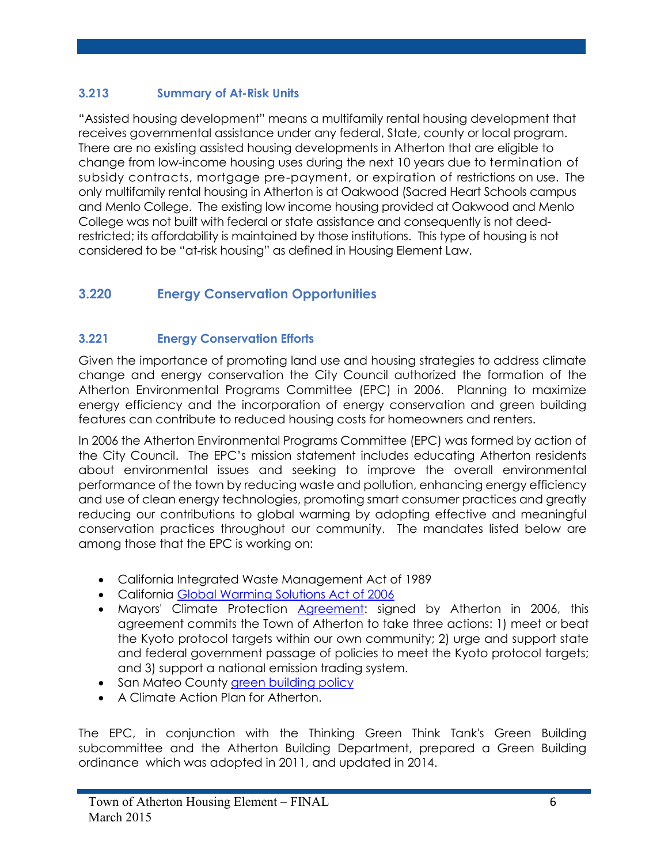# **3.213 Summary of At-Risk Units**

"Assisted housing development" means a multifamily rental housing development that receives governmental assistance under any federal, State, county or local program. There are no existing assisted housing developments in Atherton that are eligible to change from low-income housing uses during the next 10 years due to termination of subsidy contracts, mortgage pre-payment, or expiration of restrictions on use. The only multifamily rental housing in Atherton is at Oakwood (Sacred Heart Schools campus and Menlo College. The existing low income housing provided at Oakwood and Menlo College was not built with federal or state assistance and consequently is not deedrestricted; its affordability is maintained by those institutions. This type of housing is not considered to be "at-risk housing" as defined in Housing Element Law.

# **3.220 Energy Conservation Opportunities**

# **3.221 Energy Conservation Efforts**

Given the importance of promoting land use and housing strategies to address climate change and energy conservation the City Council authorized the formation of the Atherton Environmental Programs Committee (EPC) in 2006. Planning to maximize energy efficiency and the incorporation of energy conservation and green building features can contribute to reduced housing costs for homeowners and renters.

In 2006 the Atherton Environmental Programs Committee (EPC) was formed by action of the City Council. The EPC's mission statement includes educating Atherton residents about environmental issues and seeking to improve the overall environmental performance of the town by reducing waste and pollution, enhancing energy efficiency and use of clean energy technologies, promoting smart consumer practices and greatly reducing our contributions to global warming by adopting effective and meaningful conservation practices throughout our community. The mandates listed below are among those that the EPC is working on:

- California Integrated Waste Management Act of 1989
- California [Global Warming Solutions Act of 2006](http://www.arb.ca.gov/cc/docs/ab32text.pdf)
- Mayors' Climate Protection [Agreement:](http://www.usmayors.org/climateprotection/agreement.htm) signed by Atherton in 2006, this agreement commits the Town of Atherton to take three actions: 1) meet or beat the Kyoto protocol targets within our own community; 2) urge and support state and federal government passage of policies to meet the Kyoto protocol targets; and 3) support a national emission trading system.
- San Mateo County [green building policy](http://www.recycleworks.org/greenbuilding/sus_building_policy.html)
- A Climate Action Plan for Atherton.

The EPC, in conjunction with the Thinking Green Think Tank's Green Building subcommittee and the Atherton Building Department, prepared a Green Building ordinance which was adopted in 2011, and updated in 2014.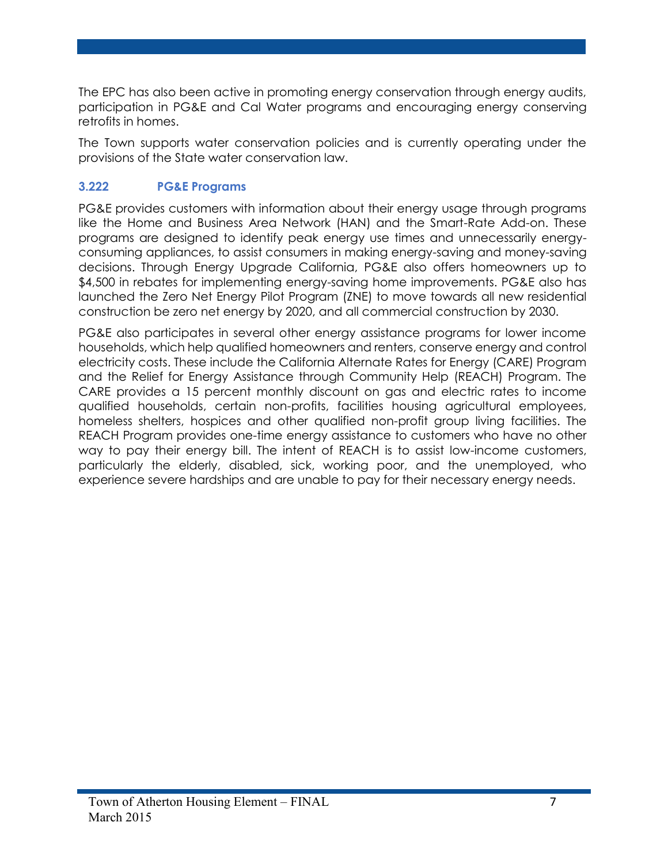The EPC has also been active in promoting energy conservation through energy audits, participation in PG&E and Cal Water programs and encouraging energy conserving retrofits in homes.

The Town supports water conservation policies and is currently operating under the provisions of the State water conservation law.

# **3.222 PG&E Programs**

PG&E provides customers with information about their energy usage through programs like the Home and Business Area Network (HAN) and the Smart-Rate Add-on. These programs are designed to identify peak energy use times and unnecessarily energyconsuming appliances, to assist consumers in making energy-saving and money-saving decisions. Through Energy Upgrade California, PG&E also offers homeowners up to \$4,500 in rebates for implementing energy-saving home improvements. PG&E also has launched the Zero Net Energy Pilot Program (ZNE) to move towards all new residential construction be zero net energy by 2020, and all commercial construction by 2030.

PG&E also participates in several other energy assistance programs for lower income households, which help qualified homeowners and renters, conserve energy and control electricity costs. These include the California Alternate Rates for Energy (CARE) Program and the Relief for Energy Assistance through Community Help (REACH) Program. The CARE provides a 15 percent monthly discount on gas and electric rates to income qualified households, certain non-profits, facilities housing agricultural employees, homeless shelters, hospices and other qualified non-profit group living facilities. The REACH Program provides one-time energy assistance to customers who have no other way to pay their energy bill. The intent of REACH is to assist low-income customers, particularly the elderly, disabled, sick, working poor, and the unemployed, who experience severe hardships and are unable to pay for their necessary energy needs.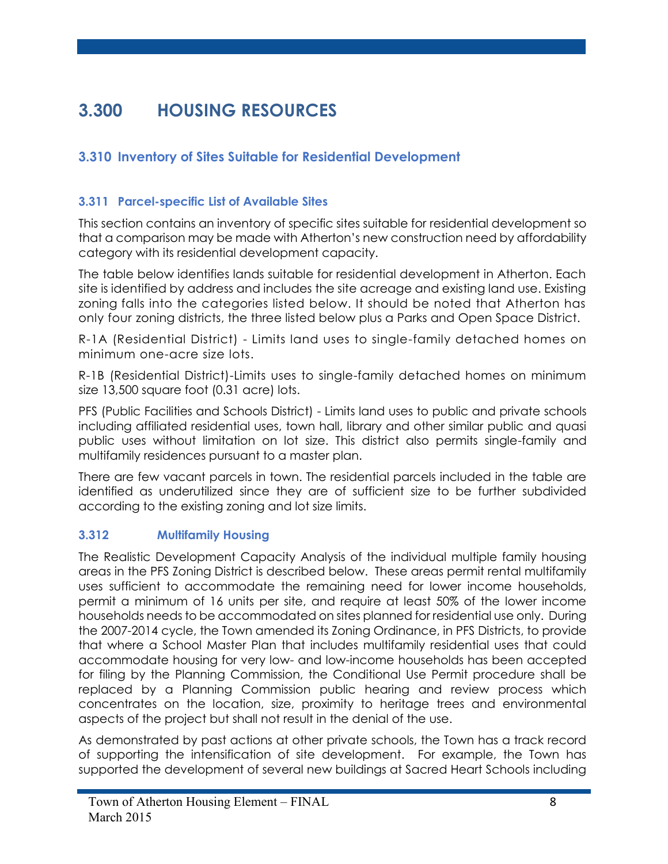# **3.300 HOUSING RESOURCES**

# **3.310 Inventory of Sites Suitable for Residential Development**

# **3.311 Parcel-specific List of Available Sites**

This section contains an inventory of specific sites suitable for residential development so that a comparison may be made with Atherton's new construction need by affordability category with its residential development capacity.

The table below identifies lands suitable for residential development in Atherton. Each site is identified by address and includes the site acreage and existing land use. Existing zoning falls into the categories listed below. It should be noted that Atherton has only four zoning districts, the three listed below plus a Parks and Open Space District.

R-1A (Residential District) - Limits land uses to single-family detached homes on minimum one-acre size lots.

R-1B (Residential District)-Limits uses to single-family detached homes on minimum size 13,500 square foot (0.31 acre) lots.

PFS (Public Facilities and Schools District) - Limits land uses to public and private schools including affiliated residential uses, town hall, library and other similar public and quasi public uses without limitation on lot size. This district also permits single-family and multifamily residences pursuant to a master plan.

There are few vacant parcels in town. The residential parcels included in the table are identified as underutilized since they are of sufficient size to be further subdivided according to the existing zoning and lot size limits.

# **3.312 Multifamily Housing**

The Realistic Development Capacity Analysis of the individual multiple family housing areas in the PFS Zoning District is described below. These areas permit rental multifamily uses sufficient to accommodate the remaining need for lower income households, permit a minimum of 16 units per site, and require at least 50% of the lower income households needs to be accommodated on sites planned for residential use only. During the 2007-2014 cycle, the Town amended its Zoning Ordinance, in PFS Districts, to provide that where a School Master Plan that includes multifamily residential uses that could accommodate housing for very low- and low-income households has been accepted for filing by the Planning Commission, the Conditional Use Permit procedure shall be replaced by a Planning Commission public hearing and review process which concentrates on the location, size, proximity to heritage trees and environmental aspects of the project but shall not result in the denial of the use.

As demonstrated by past actions at other private schools, the Town has a track record of supporting the intensification of site development. For example, the Town has supported the development of several new buildings at Sacred Heart Schools including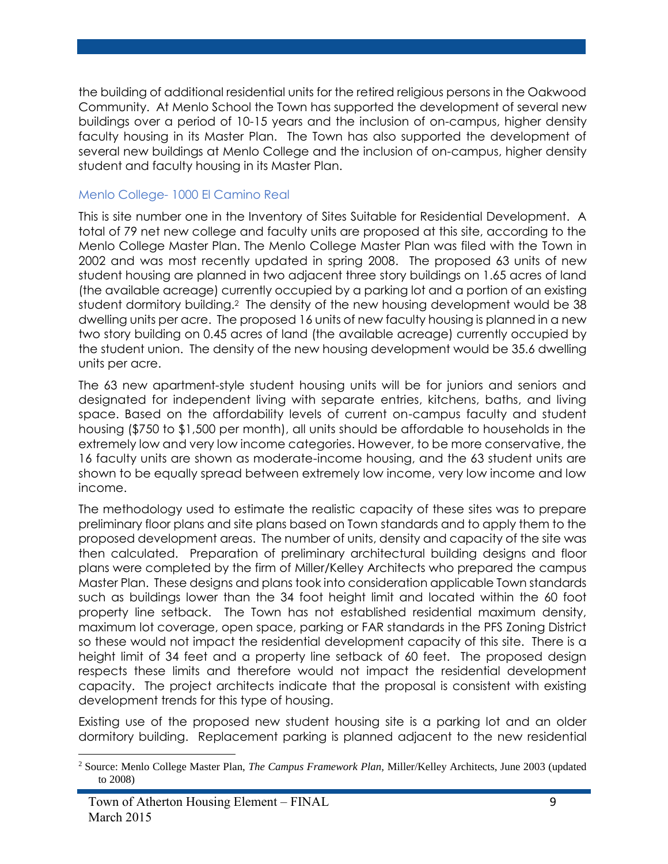the building of additional residential units for the retired religious persons in the Oakwood Community. At Menlo School the Town has supported the development of several new buildings over a period of 10-15 years and the inclusion of on-campus, higher density faculty housing in its Master Plan. The Town has also supported the development of several new buildings at Menlo College and the inclusion of on-campus, higher density student and faculty housing in its Master Plan.

#### Menlo College- 1000 El Camino Real

This is site number one in the Inventory of Sites Suitable for Residential Development. A total of 79 net new college and faculty units are proposed at this site, according to the Menlo College Master Plan. The Menlo College Master Plan was filed with the Town in 2002 and was most recently updated in spring 2008. The proposed 63 units of new student housing are planned in two adjacent three story buildings on 1.65 acres of land (the available acreage) currently occupied by a parking lot and a portion of an existing student dormitory building.<sup>2</sup> The density of the new housing development would be 38 dwelling units per acre. The proposed 16 units of new faculty housing is planned in a new two story building on 0.45 acres of land (the available acreage) currently occupied by the student union. The density of the new housing development would be 35.6 dwelling units per acre.

The 63 new apartment-style student housing units will be for juniors and seniors and designated for independent living with separate entries, kitchens, baths, and living space. Based on the affordability levels of current on-campus faculty and student housing (\$750 to \$1,500 per month), all units should be affordable to households in the extremely low and very low income categories. However, to be more conservative, the 16 faculty units are shown as moderate-income housing, and the 63 student units are shown to be equally spread between extremely low income, very low income and low income.

The methodology used to estimate the realistic capacity of these sites was to prepare preliminary floor plans and site plans based on Town standards and to apply them to the proposed development areas. The number of units, density and capacity of the site was then calculated. Preparation of preliminary architectural building designs and floor plans were completed by the firm of Miller/Kelley Architects who prepared the campus Master Plan. These designs and plans took into consideration applicable Town standards such as buildings lower than the 34 foot height limit and located within the 60 foot property line setback. The Town has not established residential maximum density, maximum lot coverage, open space, parking or FAR standards in the PFS Zoning District so these would not impact the residential development capacity of this site. There is a height limit of 34 feet and a property line setback of 60 feet. The proposed design respects these limits and therefore would not impact the residential development capacity. The project architects indicate that the proposal is consistent with existing development trends for this type of housing.

Existing use of the proposed new student housing site is a parking lot and an older dormitory building. Replacement parking is planned adjacent to the new residential

 $\overline{a}$ 

<sup>2</sup> Source: Menlo College Master Plan, *The Campus Framework Plan,* Miller/Kelley Architects, June 2003 (updated to 2008)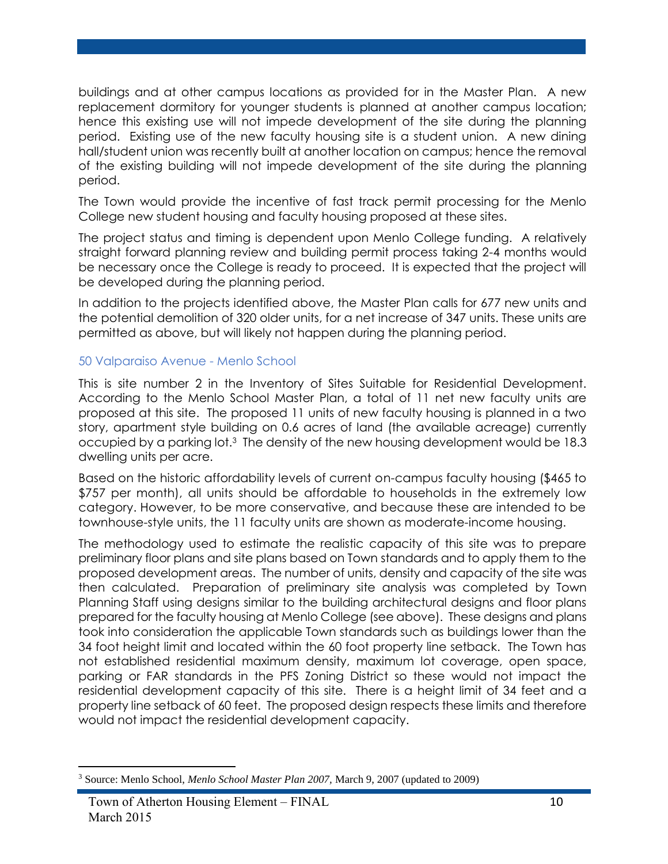buildings and at other campus locations as provided for in the Master Plan. A new replacement dormitory for younger students is planned at another campus location; hence this existing use will not impede development of the site during the planning period. Existing use of the new faculty housing site is a student union. A new dining hall/student union was recently built at another location on campus; hence the removal of the existing building will not impede development of the site during the planning period.

The Town would provide the incentive of fast track permit processing for the Menlo College new student housing and faculty housing proposed at these sites.

The project status and timing is dependent upon Menlo College funding. A relatively straight forward planning review and building permit process taking 2-4 months would be necessary once the College is ready to proceed. It is expected that the project will be developed during the planning period.

In addition to the projects identified above, the Master Plan calls for 677 new units and the potential demolition of 320 older units, for a net increase of 347 units. These units are permitted as above, but will likely not happen during the planning period.

#### 50 Valparaiso Avenue - Menlo School

This is site number 2 in the Inventory of Sites Suitable for Residential Development. According to the Menlo School Master Plan, a total of 11 net new faculty units are proposed at this site. The proposed 11 units of new faculty housing is planned in a two story, apartment style building on 0.6 acres of land (the available acreage) currently occupied by a parking lot.<sup>3</sup> The density of the new housing development would be 18.3 dwelling units per acre.

Based on the historic affordability levels of current on-campus faculty housing (\$465 to \$757 per month), all units should be affordable to households in the extremely low category. However, to be more conservative, and because these are intended to be townhouse-style units, the 11 faculty units are shown as moderate-income housing.

The methodology used to estimate the realistic capacity of this site was to prepare preliminary floor plans and site plans based on Town standards and to apply them to the proposed development areas. The number of units, density and capacity of the site was then calculated. Preparation of preliminary site analysis was completed by Town Planning Staff using designs similar to the building architectural designs and floor plans prepared for the faculty housing at Menlo College (see above). These designs and plans took into consideration the applicable Town standards such as buildings lower than the 34 foot height limit and located within the 60 foot property line setback. The Town has not established residential maximum density, maximum lot coverage, open space, parking or FAR standards in the PFS Zoning District so these would not impact the residential development capacity of this site. There is a height limit of 34 feet and a property line setback of 60 feet. The proposed design respects these limits and therefore would not impact the residential development capacity.

 $\overline{a}$ 

<sup>3</sup> Source: Menlo School, *Menlo School Master Plan 2007,* March 9, 2007 (updated to 2009)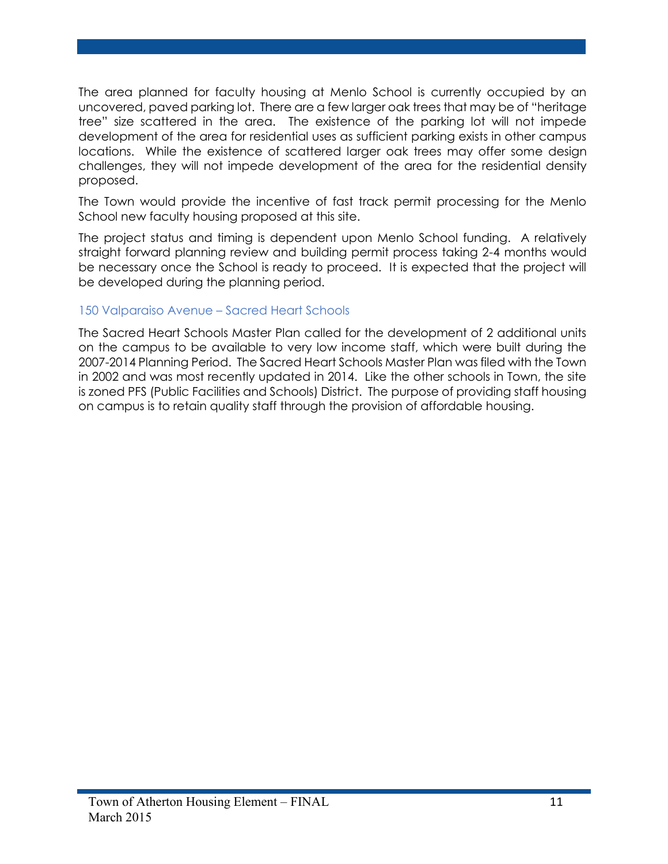The area planned for faculty housing at Menlo School is currently occupied by an uncovered, paved parking lot. There are a few larger oak trees that may be of "heritage tree" size scattered in the area. The existence of the parking lot will not impede development of the area for residential uses as sufficient parking exists in other campus locations. While the existence of scattered larger oak trees may offer some design challenges, they will not impede development of the area for the residential density proposed.

The Town would provide the incentive of fast track permit processing for the Menlo School new faculty housing proposed at this site.

The project status and timing is dependent upon Menlo School funding. A relatively straight forward planning review and building permit process taking 2-4 months would be necessary once the School is ready to proceed. It is expected that the project will be developed during the planning period.

#### 150 Valparaiso Avenue – Sacred Heart Schools

The Sacred Heart Schools Master Plan called for the development of 2 additional units on the campus to be available to very low income staff, which were built during the 2007-2014 Planning Period. The Sacred Heart Schools Master Plan was filed with the Town in 2002 and was most recently updated in 2014. Like the other schools in Town, the site is zoned PFS (Public Facilities and Schools) District. The purpose of providing staff housing on campus is to retain quality staff through the provision of affordable housing.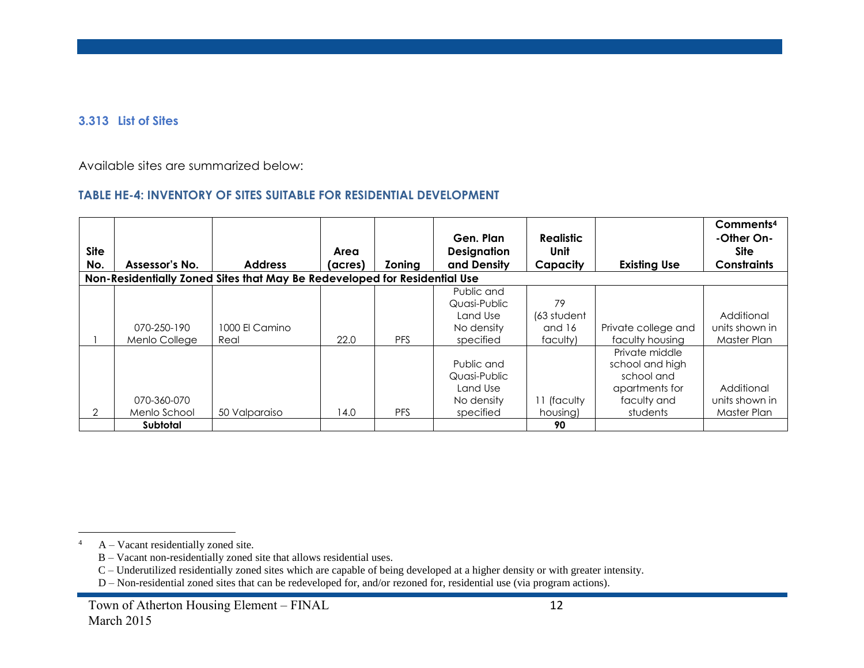#### **3.313 List of Sites**

Available sites are summarized below:

### **TABLE HE-4: INVENTORY OF SITES SUITABLE FOR RESIDENTIAL DEVELOPMENT**

| <b>Site</b> |                              |                                                                           | Area    |            | Gen. Plan<br><b>Designation</b>                                   | <b>Realistic</b><br><b>Unit</b> |                                                                                              | Comments <sup>4</sup><br>-Other On-<br><b>Site</b> |
|-------------|------------------------------|---------------------------------------------------------------------------|---------|------------|-------------------------------------------------------------------|---------------------------------|----------------------------------------------------------------------------------------------|----------------------------------------------------|
| No.         | Assessor's No.               | <b>Address</b>                                                            | (acres) | Zoning     | and Density                                                       | Capacity                        | <b>Existing Use</b>                                                                          | <b>Constraints</b>                                 |
|             |                              | Non-Residentially Zoned Sites that May Be Redeveloped for Residential Use |         |            |                                                                   |                                 |                                                                                              |                                                    |
|             |                              |                                                                           |         |            | Public and<br>Quasi-Public<br>Land Use                            | 79<br>(63 student               |                                                                                              | Additional                                         |
|             | 070-250-190<br>Menlo College | 1000 El Camino<br>Real                                                    | 22.0    | <b>PFS</b> | No density<br>specified                                           | and 16<br>faculty)              | Private college and<br>faculty housing                                                       | units shown in<br>Master Plan                      |
| 2           | 070-360-070<br>Menlo School  | 50 Valparaiso                                                             | 14.0    | <b>PFS</b> | Public and<br>Quasi-Public<br>Land Use<br>No density<br>specified | 11 (faculty<br>housing)         | Private middle<br>school and high<br>school and<br>apartments for<br>faculty and<br>students | Additional<br>units shown in<br>Master Plan        |
|             | Subtotal                     |                                                                           |         |            |                                                                   | 90                              |                                                                                              |                                                    |

 $\overline{a}$ 

<sup>4</sup> A – Vacant residentially zoned site.

B – Vacant non-residentially zoned site that allows residential uses.

C – Underutilized residentially zoned sites which are capable of being developed at a higher density or with greater intensity.

D – Non-residential zoned sites that can be redeveloped for, and/or rezoned for, residential use (via program actions).

Town of Atherton Housing Element – FINAL 12 March 2015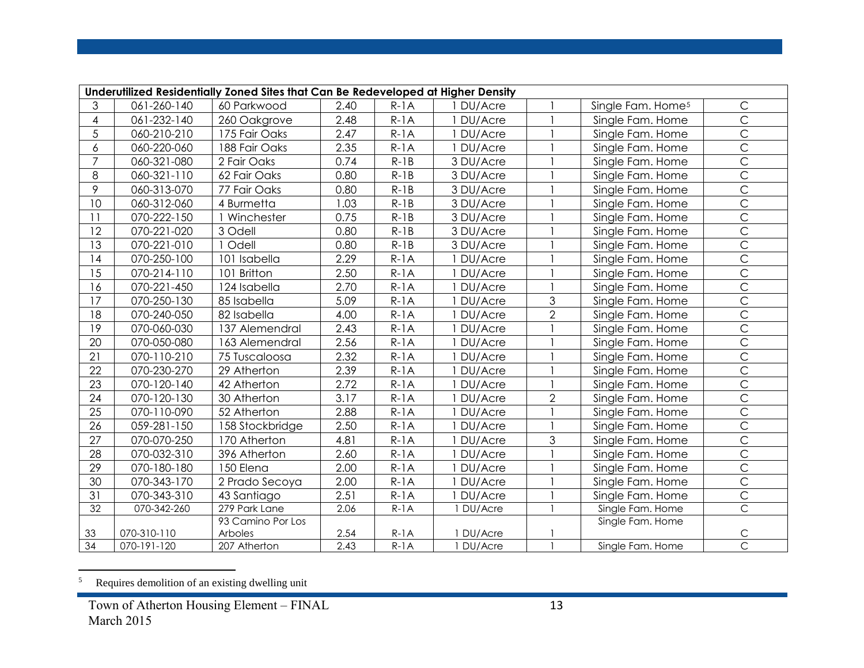|                 | Underutilized Residentially Zoned Sites that Can Be Redeveloped at Higher Density |                   |      |        |           |                |                               |                |  |  |  |  |
|-----------------|-----------------------------------------------------------------------------------|-------------------|------|--------|-----------|----------------|-------------------------------|----------------|--|--|--|--|
| 3               | 061-260-140                                                                       | 60 Parkwood       | 2.40 | $R-1A$ | 1 DU/Acre |                | Single Fam. Home <sup>5</sup> | $\mathsf{C}$   |  |  |  |  |
| 4               | 061-232-140                                                                       | 260 Oakgrove      | 2.48 | $R-1A$ | 1 DU/Acre |                | Single Fam. Home              | $\overline{C}$ |  |  |  |  |
| 5               | 060-210-210                                                                       | 175 Fair Oaks     | 2.47 | $R-1A$ | 1 DU/Acre |                | Single Fam. Home              | $\overline{C}$ |  |  |  |  |
| 6               | 060-220-060                                                                       | 188 Fair Oaks     | 2.35 | $R-1A$ | DU/Acre   |                | Single Fam. Home              | $\overline{C}$ |  |  |  |  |
| $\overline{7}$  | 060-321-080                                                                       | 2 Fair Oaks       | 0.74 | $R-1B$ | 3 DU/Acre |                | Single Fam. Home              | $\overline{C}$ |  |  |  |  |
| 8               | 060-321-110                                                                       | 62 Fair Oaks      | 0.80 | $R-1B$ | 3 DU/Acre |                | Single Fam. Home              | $\overline{C}$ |  |  |  |  |
| 9               | 060-313-070                                                                       | 77 Fair Oaks      | 0.80 | $R-1B$ | 3 DU/Acre |                | Single Fam. Home              | $\overline{C}$ |  |  |  |  |
| 10              | 060-312-060                                                                       | 4 Burmetta        | 1.03 | $R-1B$ | 3 DU/Acre |                | Single Fam. Home              | $\overline{C}$ |  |  |  |  |
| 11              | 070-222-150                                                                       | 1 Winchester      | 0.75 | $R-1B$ | 3 DU/Acre |                | Single Fam. Home              | $\overline{C}$ |  |  |  |  |
| 12              | 070-221-020                                                                       | 3 Odell           | 0.80 | $R-1B$ | 3 DU/Acre |                | Single Fam. Home              | $\overline{C}$ |  |  |  |  |
| 13              | 070-221-010                                                                       | 1 Odell           | 0.80 | $R-1B$ | 3 DU/Acre |                | Single Fam. Home              | $\overline{C}$ |  |  |  |  |
| 14              | 070-250-100                                                                       | 101 Isabella      | 2.29 | $R-1A$ | DU/Acre   |                | Single Fam. Home              | $\overline{C}$ |  |  |  |  |
| 15              | 070-214-110                                                                       | 101 Britton       | 2.50 | $R-1A$ | DU/Acre   |                | Single Fam. Home              | $\overline{C}$ |  |  |  |  |
| 16              | 070-221-450                                                                       | 124 Isabella      | 2.70 | $R-1A$ | DU/Acre   |                | Single Fam. Home              | $\overline{C}$ |  |  |  |  |
| $\overline{17}$ | 070-250-130                                                                       | 85 Isabella       | 5.09 | $R-1A$ | 1 DU/Acre | 3              | Single Fam. Home              | $\overline{C}$ |  |  |  |  |
| 18              | 070-240-050                                                                       | 82 Isabella       | 4.00 | $R-1A$ | 1 DU/Acre | $\overline{2}$ | Single Fam. Home              | $\mathsf{C}$   |  |  |  |  |
| 19              | 070-060-030                                                                       | 137 Alemendral    | 2.43 | $R-1A$ | 1 DU/Acre |                | Single Fam. Home              | $\overline{C}$ |  |  |  |  |
| 20              | 070-050-080                                                                       | 163 Alemendral    | 2.56 | $R-1A$ | 1 DU/Acre |                | Single Fam. Home              | $\overline{C}$ |  |  |  |  |
| 21              | 070-110-210                                                                       | 75 Tuscaloosa     | 2.32 | $R-1A$ | 1 DU/Acre |                | Single Fam. Home              | $\overline{C}$ |  |  |  |  |
| 22              | 070-230-270                                                                       | 29 Atherton       | 2.39 | $R-1A$ | DU/Acre   |                | Single Fam. Home              | $\overline{C}$ |  |  |  |  |
| 23              | 070-120-140                                                                       | 42 Atherton       | 2.72 | $R-1A$ | 1 DU/Acre |                | Single Fam. Home              | $\overline{C}$ |  |  |  |  |
| 24              | 070-120-130                                                                       | 30 Atherton       | 3.17 | $R-1A$ | DU/Acre   | $\overline{2}$ | Single Fam. Home              | $\overline{C}$ |  |  |  |  |
| 25              | 070-110-090                                                                       | 52 Atherton       | 2.88 | $R-1A$ | DU/Acre   |                | Single Fam. Home              | $\overline{C}$ |  |  |  |  |
| 26              | 059-281-150                                                                       | 158 Stockbridge   | 2.50 | $R-1A$ | DU/Acre   |                | Single Fam. Home              | $\overline{C}$ |  |  |  |  |
| 27              | 070-070-250                                                                       | 170 Atherton      | 4.81 | $R-1A$ | 1 DU/Acre | 3              | Single Fam. Home              | $\overline{C}$ |  |  |  |  |
| 28              | 070-032-310                                                                       | 396 Atherton      | 2.60 | $R-1A$ | DU/Acre   |                | Single Fam. Home              | $\overline{C}$ |  |  |  |  |
| 29              | 070-180-180                                                                       | 150 Elena         | 2.00 | $R-1A$ | 1 DU/Acre |                | Single Fam. Home              | $\overline{C}$ |  |  |  |  |
| 30              | 070-343-170                                                                       | 2 Prado Secoya    | 2.00 | $R-1A$ | 1 DU/Acre |                | Single Fam. Home              | $\mathsf C$    |  |  |  |  |
| 31              | 070-343-310                                                                       | 43 Santiago       | 2.51 | $R-1A$ | 1 DU/Acre |                | Single Fam. Home              | $\overline{C}$ |  |  |  |  |
| 32              | 070-342-260                                                                       | 279 Park Lane     | 2.06 | $R-1A$ | 1 DU/Acre |                | Single Fam. Home              | $\overline{C}$ |  |  |  |  |
|                 |                                                                                   | 93 Camino Por Los |      |        |           |                | Single Fam. Home              |                |  |  |  |  |
| 33              | 070-310-110                                                                       | Arboles           | 2.54 | $R-1A$ | 1 DU/Acre |                |                               | $\mathsf C$    |  |  |  |  |
| 34              | 070-191-120                                                                       | 207 Atherton      | 2.43 | $R-1A$ | 1 DU/Acre |                | Single Fam. Home              | $\overline{C}$ |  |  |  |  |

 5 Requires demolition of an existing dwelling unit

Town of Atherton Housing Element – FINAL 13 March 2015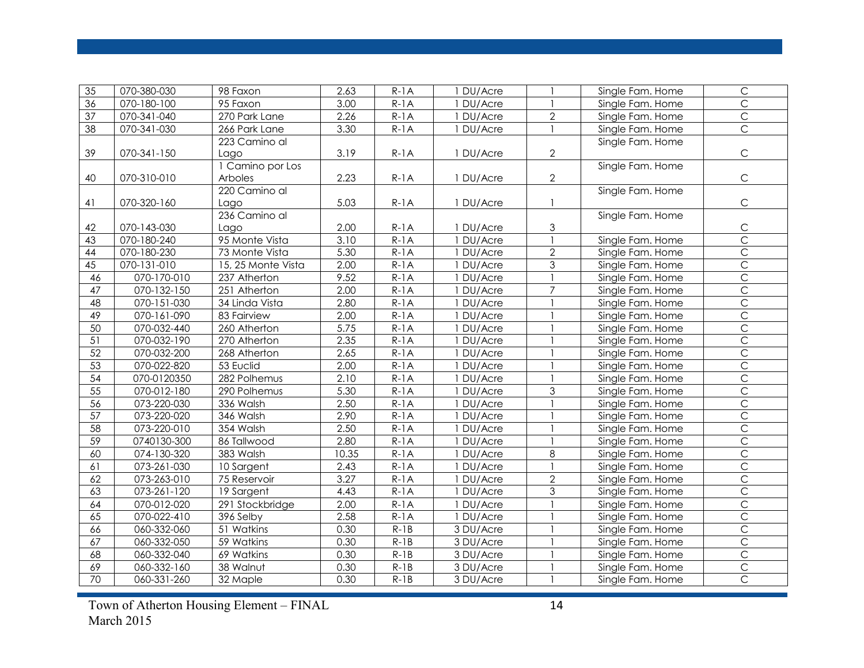| 35              | 070-380-030              | 98 Faxon           | 2.63  | $R-1A$ | 1 DU/Acre |                | Single Fam. Home | $\mathsf C$    |
|-----------------|--------------------------|--------------------|-------|--------|-----------|----------------|------------------|----------------|
| 36              | 070-180-100              | 95 Faxon           | 3.00  | $R-1A$ | 1 DU/Acre |                | Single Fam. Home | $\overline{C}$ |
| 37              | 070-341-040              | 270 Park Lane      | 2.26  | $R-1A$ | 1 DU/Acre | $\overline{2}$ | Single Fam. Home | $\overline{C}$ |
| 38              | 070-341-030              | 266 Park Lane      | 3.30  | $R-1A$ | 1 DU/Acre |                | Single Fam. Home | $\overline{C}$ |
|                 |                          | 223 Camino al      |       |        |           |                | Single Fam. Home |                |
| 39              | 070-341-150              | Lago               | 3.19  | $R-1A$ | 1 DU/Acre | $\overline{2}$ |                  | $\mathsf C$    |
|                 |                          | 1 Camino por Los   |       |        |           |                | Single Fam. Home |                |
| 40              | 070-310-010              | Arboles            | 2.23  | $R-1A$ | 1 DU/Acre | $\overline{2}$ |                  | $\mathsf C$    |
|                 |                          | 220 Camino al      |       |        |           |                | Single Fam. Home |                |
| 41              | 070-320-160              | Lago               | 5.03  | $R-1A$ | 1 DU/Acre |                |                  | $\mathsf C$    |
|                 |                          | 236 Camino al      |       |        |           |                | Single Fam. Home |                |
| 42              | 070-143-030              | Lago               | 2.00  | $R-1A$ | 1 DU/Acre | 3              |                  | $\mathsf C$    |
| 43              | 070-180-240              | 95 Monte Vista     | 3.10  | $R-1A$ | 1 DU/Acre |                | Single Fam. Home | $\overline{C}$ |
| $\overline{44}$ | 070-180-230              | 73 Monte Vista     | 5.30  | $R-1A$ | 1 DU/Acre | $\mathbf{2}$   | Single Fam. Home | $\overline{C}$ |
| 45              | 070-131-010              | 15, 25 Monte Vista | 2.00  | $R-1A$ | 1 DU/Acre | 3              | Single Fam. Home | $\overline{C}$ |
| 46              | 070-170-010              | 237 Atherton       | 9.52  | $R-1A$ | 1 DU/Acre |                | Single Fam. Home | $\overline{C}$ |
| $\overline{47}$ | 070-132-150              | 251 Atherton       | 2.00  | $R-1A$ | 1 DU/Acre | $\overline{7}$ | Single Fam. Home | $\overline{C}$ |
| 48              | 070-151-030              | 34 Linda Vista     | 2.80  | $R-1A$ | 1 DU/Acre |                | Single Fam. Home | $\overline{C}$ |
| 49              | 070-161-090              | 83 Fairview        | 2.00  | $R-1A$ | 1 DU/Acre |                | Single Fam. Home | $\overline{C}$ |
| 50              | 070-032-440              | 260 Atherton       | 5.75  | $R-1A$ | 1 DU/Acre |                | Single Fam. Home | $\overline{C}$ |
| 51              | 070-032-190              | 270 Atherton       | 2.35  | $R-1A$ | 1 DU/Acre |                | Single Fam. Home | $\overline{C}$ |
| 52              | 070-032-200              | 268 Atherton       | 2.65  | $R-1A$ | 1 DU/Acre |                | Single Fam. Home | $\overline{C}$ |
| 53              | 070-022-820              | 53 Euclid          | 2.00  | $R-1A$ | 1 DU/Acre |                | Single Fam. Home | $\overline{C}$ |
| 54              | 070-0120350              | 282 Polhemus       | 2.10  | $R-1A$ | 1 DU/Acre |                | Single Fam. Home | $\overline{C}$ |
| $\overline{55}$ | $\overline{070-012-180}$ | 290 Polhemus       | 5.30  | $R-1A$ | 1 DU/Acre | 3              | Single Fam. Home | $\overline{C}$ |
| 56              | 073-220-030              | 336 Walsh          | 2.50  | $R-1A$ | 1 DU/Acre |                | Single Fam. Home | $\overline{C}$ |
| 57              | 073-220-020              | 346 Walsh          | 2.90  | $R-1A$ | 1 DU/Acre |                | Single Fam. Home | $\overline{C}$ |
| 58              | 073-220-010              | 354 Walsh          | 2.50  | $R-1A$ | 1 DU/Acre |                | Single Fam. Home | $\overline{C}$ |
| 59              | 0740130-300              | 86 Tallwood        | 2.80  | $R-1A$ | 1 DU/Acre |                | Single Fam. Home | $\overline{C}$ |
| 60              | 074-130-320              | 383 Walsh          | 10.35 | $R-1A$ | 1 DU/Acre | 8              | Single Fam. Home | $\overline{C}$ |
| 61              | 073-261-030              | 10 Sargent         | 2.43  | $R-1A$ | 1 DU/Acre |                | Single Fam. Home | $\overline{C}$ |
| 62              | 073-263-010              | 75 Reservoir       | 3.27  | $R-1A$ | 1 DU/Acre | $\overline{2}$ | Single Fam. Home | $\overline{C}$ |
| 63              | 073-261-120              | 19 Sargent         | 4.43  | $R-1A$ | 1 DU/Acre | 3              | Single Fam. Home | $\overline{C}$ |
| 64              | 070-012-020              | 291 Stockbridge    | 2.00  | $R-1A$ | 1 DU/Acre |                | Single Fam. Home | $\overline{C}$ |
| 65              | 070-022-410              | 396 Selby          | 2.58  | $R-1A$ | 1 DU/Acre |                | Single Fam. Home | $\overline{C}$ |
| 66              | 060-332-060              | 51 Watkins         | 0.30  | $R-1B$ | 3 DU/Acre |                | Single Fam. Home | $\overline{C}$ |
| 67              | 060-332-050              | 59 Watkins         | 0.30  | $R-1B$ | 3 DU/Acre |                | Single Fam. Home | $\overline{C}$ |
| 68              | 060-332-040              | 69 Watkins         | 0.30  | $R-1B$ | 3 DU/Acre |                | Single Fam. Home | $\overline{C}$ |
| 69              | 060-332-160              | 38 Walnut          | 0.30  | $R-1B$ | 3 DU/Acre |                | Single Fam. Home | $\overline{C}$ |
| $\overline{70}$ | 060-331-260              | 32 Maple           | 0.30  | $R-1B$ | 3 DU/Acre |                | Single Fam. Home | $\overline{C}$ |

Town of Atherton Housing Element – FINAL 14 March 2015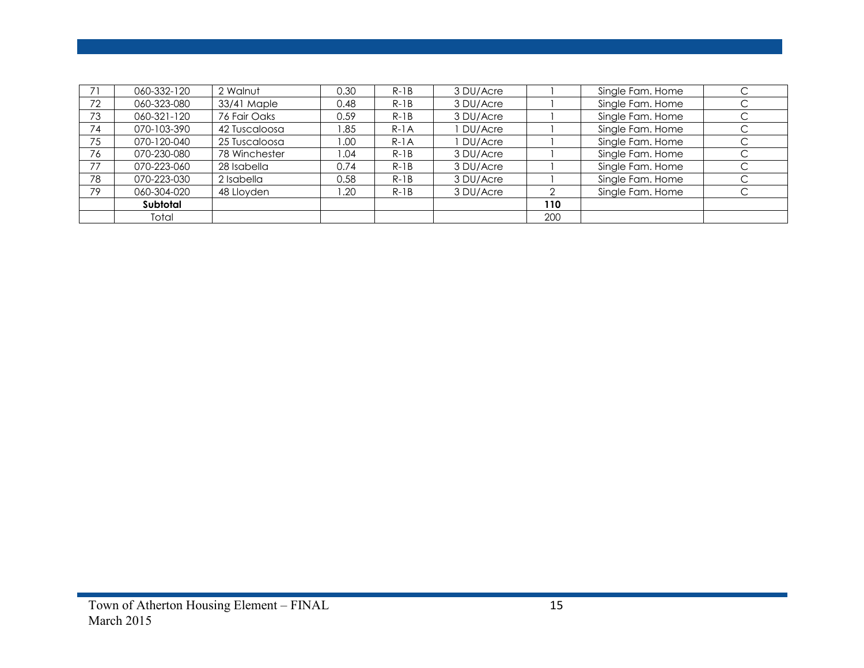|    | 060-332-120 | 2 Walnut      | 0.30  | $R-1B$ | 3 DU/Acre |     | Single Fam. Home |   |
|----|-------------|---------------|-------|--------|-----------|-----|------------------|---|
| 72 | 060-323-080 | 33/41 Maple   | 0.48  | $R-1B$ | 3 DU/Acre |     | Single Fam. Home | С |
| 73 | 060-321-120 | 76 Fair Oaks  | 0.59  | $R-1B$ | 3 DU/Acre |     | Single Fam. Home | С |
| 74 | 070-103-390 | 42 Tuscaloosa | 85. ا | $R-1A$ | DU/Acre   |     | Single Fam. Home | ⌒ |
| 75 | 070-120-040 | 25 Tuscaloosa | 1.00  | $R-1A$ | DU/Acre   |     | Single Fam. Home | C |
| 76 | 070-230-080 | 78 Winchester | 04. ا | $R-1B$ | 3 DU/Acre |     | Single Fam. Home |   |
| 77 | 070-223-060 | 28 Isabella   | 0.74  | $R-1B$ | 3 DU/Acre |     | Single Fam. Home |   |
| 78 | 070-223-030 | 2 Isabella    | 0.58  | $R-1B$ | 3 DU/Acre |     | Single Fam. Home | C |
| 79 | 060-304-020 | 48 Lloyden    | .20   | $R-1B$ | 3 DU/Acre |     | Single Fam. Home |   |
|    | Subtotal    |               |       |        |           | 110 |                  |   |
|    | Total       |               |       |        |           | 200 |                  |   |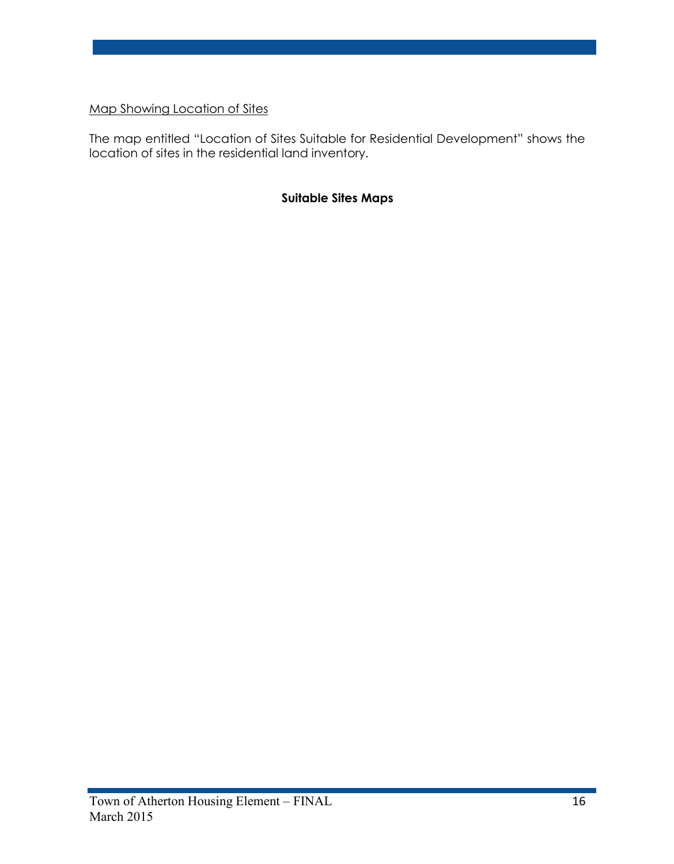Map Showing Location of Sites

The map entitled "Location of Sites Suitable for Residential Development" shows the location of sites in the residential land inventory.

# **Suitable Sites Maps**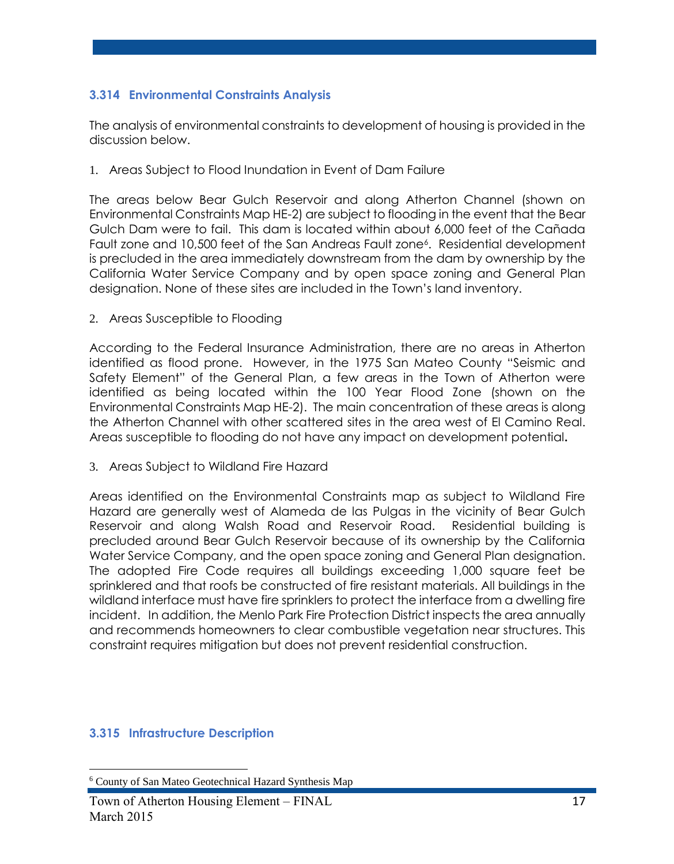# **3.314 Environmental Constraints Analysis**

The analysis of environmental constraints to development of housing is provided in the discussion below.

1. Areas Subject to Flood Inundation in Event of Dam Failure

The areas below Bear Gulch Reservoir and along Atherton Channel (shown on Environmental Constraints Map HE-2) are subject to flooding in the event that the Bear Gulch Dam were to fail. This dam is located within about 6,000 feet of the Cañada Fault zone and 10,500 feet of the San Andreas Fault zone<sup>6</sup> . Residential development is precluded in the area immediately downstream from the dam by ownership by the California Water Service Company and by open space zoning and General Plan designation. None of these sites are included in the Town's land inventory.

2. Areas Susceptible to Flooding

According to the Federal Insurance Administration, there are no areas in Atherton identified as flood prone. However, in the 1975 San Mateo County "Seismic and Safety Element" of the General Plan, a few areas in the Town of Atherton were identified as being located within the 100 Year Flood Zone (shown on the Environmental Constraints Map HE-2). The main concentration of these areas is along the Atherton Channel with other scattered sites in the area west of El Camino Real. Areas susceptible to flooding do not have any impact on development potential**.**

3. Areas Subject to Wildland Fire Hazard

Areas identified on the Environmental Constraints map as subject to Wildland Fire Hazard are generally west of Alameda de las Pulgas in the vicinity of Bear Gulch Reservoir and along Walsh Road and Reservoir Road. Residential building is precluded around Bear Gulch Reservoir because of its ownership by the California Water Service Company, and the open space zoning and General Plan designation. The adopted Fire Code requires all buildings exceeding 1,000 square feet be sprinklered and that roofs be constructed of fire resistant materials. All buildings in the wildland interface must have fire sprinklers to protect the interface from a dwelling fire incident. In addition, the Menlo Park Fire Protection District inspects the area annually and recommends homeowners to clear combustible vegetation near structures. This constraint requires mitigation but does not prevent residential construction.

# **3.315 Infrastructure Description**

 $\overline{a}$ 

<sup>6</sup> County of San Mateo Geotechnical Hazard Synthesis Map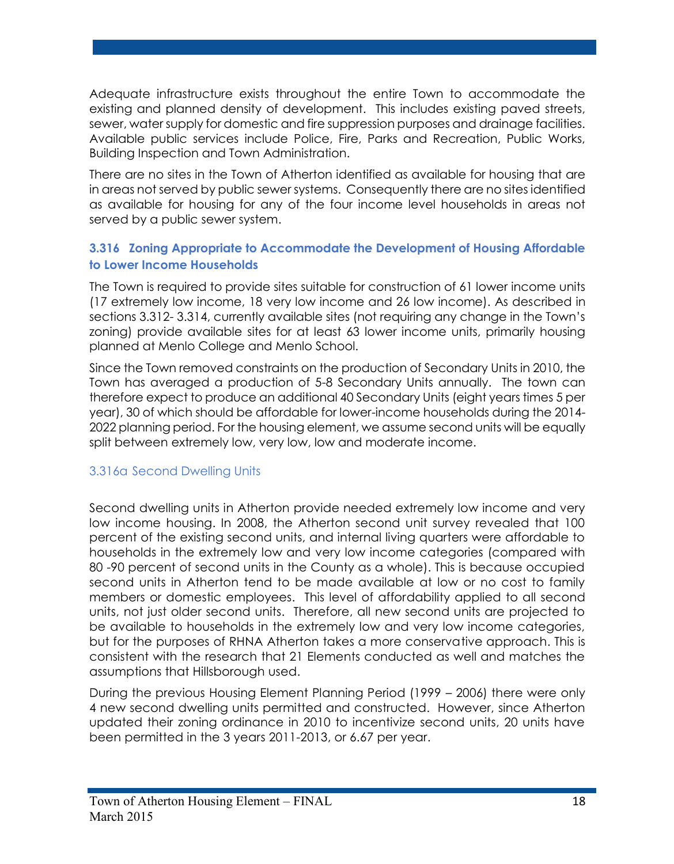Adequate infrastructure exists throughout the entire Town to accommodate the existing and planned density of development. This includes existing paved streets, sewer, water supply for domestic and fire suppression purposes and drainage facilities. Available public services include Police, Fire, Parks and Recreation, Public Works, Building Inspection and Town Administration.

There are no sites in the Town of Atherton identified as available for housing that are in areas not served by public sewer systems. Consequently there are no sites identified as available for housing for any of the four income level households in areas not served by a public sewer system.

# **3.316 Zoning Appropriate to Accommodate the Development of Housing Affordable to Lower Income Households**

The Town is required to provide sites suitable for construction of 61 lower income units (17 extremely low income, 18 very low income and 26 low income). As described in sections 3.312- 3.314, currently available sites (not requiring any change in the Town's zoning) provide available sites for at least 63 lower income units, primarily housing planned at Menlo College and Menlo School.

Since the Town removed constraints on the production of Secondary Units in 2010, the Town has averaged a production of 5-8 Secondary Units annually. The town can therefore expect to produce an additional 40 Secondary Units (eight years times 5 per year), 30 of which should be affordable for lower-income households during the 2014- 2022 planning period. For the housing element, we assume second units will be equally split between extremely low, very low, low and moderate income.

# 3.316a Second Dwelling Units

Second dwelling units in Atherton provide needed extremely low income and very low income housing. In 2008, the Atherton second unit survey revealed that 100 percent of the existing second units, and internal living quarters were affordable to households in the extremely low and very low income categories (compared with 80 -90 percent of second units in the County as a whole). This is because occupied second units in Atherton tend to be made available at low or no cost to family members or domestic employees. This level of affordability applied to all second units, not just older second units. Therefore, all new second units are projected to be available to households in the extremely low and very low income categories, but for the purposes of RHNA Atherton takes a more conservative approach. This is consistent with the research that 21 Elements conducted as well and matches the assumptions that Hillsborough used.

During the previous Housing Element Planning Period (1999 – 2006) there were only 4 new second dwelling units permitted and constructed. However, since Atherton updated their zoning ordinance in 2010 to incentivize second units, 20 units have been permitted in the 3 years 2011-2013, or 6.67 per year.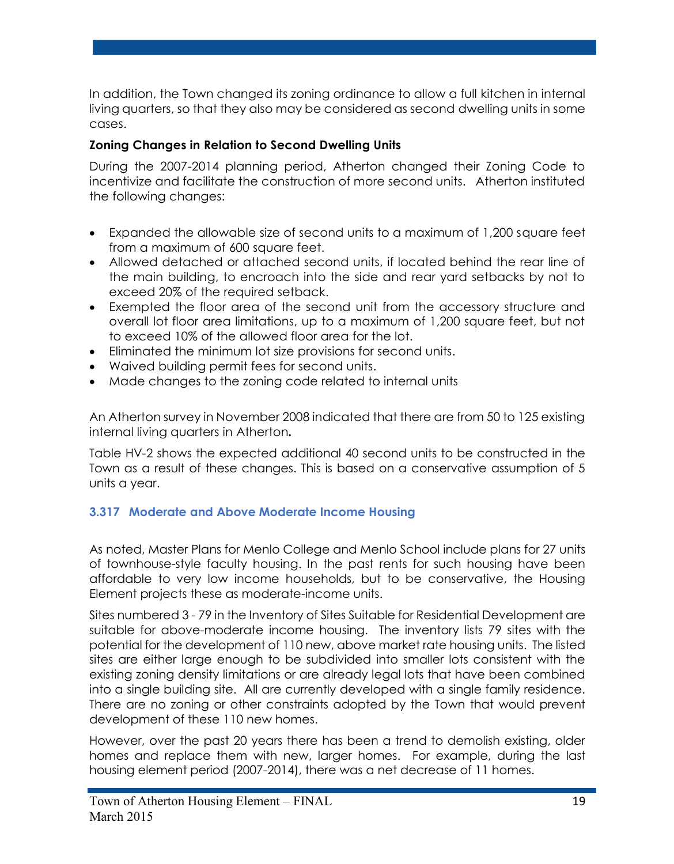In addition, the Town changed its zoning ordinance to allow a full kitchen in internal living quarters, so that they also may be considered as second dwelling units in some cases.

# **Zoning Changes in Relation to Second Dwelling Units**

During the 2007-2014 planning period, Atherton changed their Zoning Code to incentivize and facilitate the construction of more second units. Atherton instituted the following changes:

- Expanded the allowable size of second units to a maximum of 1,200 square feet from a maximum of 600 square feet.
- Allowed detached or attached second units, if located behind the rear line of the main building, to encroach into the side and rear yard setbacks by not to exceed 20% of the required setback.
- Exempted the floor area of the second unit from the accessory structure and overall lot floor area limitations, up to a maximum of 1,200 square feet, but not to exceed 10% of the allowed floor area for the lot.
- Eliminated the minimum lot size provisions for second units.
- Waived building permit fees for second units.
- Made changes to the zoning code related to internal units

An Atherton survey in November 2008 indicated that there are from 50 to 125 existing internal living quarters in Atherton*.*

Table HV-2 shows the expected additional 40 second units to be constructed in the Town as a result of these changes. This is based on a conservative assumption of 5 units a year.

# **3.317 Moderate and Above Moderate Income Housing**

As noted, Master Plans for Menlo College and Menlo School include plans for 27 units of townhouse-style faculty housing. In the past rents for such housing have been affordable to very low income households, but to be conservative, the Housing Element projects these as moderate-income units.

Sites numbered 3 - 79 in the Inventory of Sites Suitable for Residential Development are suitable for above-moderate income housing. The inventory lists 79 sites with the potential for the development of 110 new, above market rate housing units. The listed sites are either large enough to be subdivided into smaller lots consistent with the existing zoning density limitations or are already legal lots that have been combined into a single building site. All are currently developed with a single family residence. There are no zoning or other constraints adopted by the Town that would prevent development of these 110 new homes.

However, over the past 20 years there has been a trend to demolish existing, older homes and replace them with new, larger homes. For example, during the last housing element period (2007-2014), there was a net decrease of 11 homes.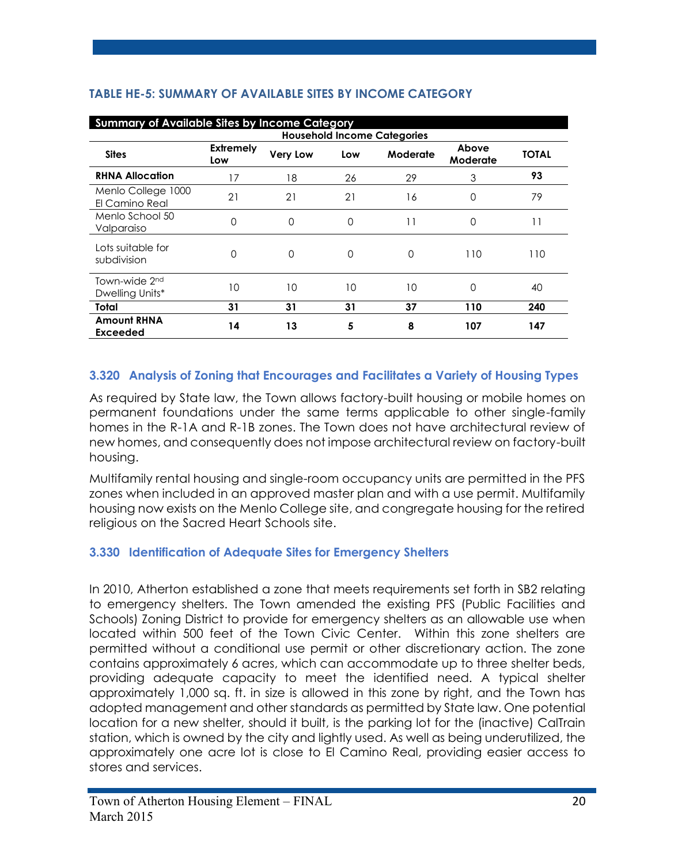|                                              | <b>Summary of Available Sites by Income Category</b> |                 |          |          |                   |              |  |  |  |  |  |
|----------------------------------------------|------------------------------------------------------|-----------------|----------|----------|-------------------|--------------|--|--|--|--|--|
| <b>Household Income Categories</b>           |                                                      |                 |          |          |                   |              |  |  |  |  |  |
| <b>Sites</b>                                 | <b>Extremely</b><br>Low                              | <b>Very Low</b> | Low      | Moderate | Above<br>Moderate | <b>TOTAL</b> |  |  |  |  |  |
| <b>RHNA Allocation</b>                       | 17                                                   | 18              | 26       | 29       | 3                 | 93           |  |  |  |  |  |
| Menlo College 1000<br>El Camino Real         | 21                                                   | 21              | 21       | 16       | 0                 | 79           |  |  |  |  |  |
| Menlo School 50<br>Valparaiso                | 0                                                    | 0               | $\Omega$ | 11       | $\Omega$          | 11           |  |  |  |  |  |
| Lots suitable for<br>subdivision             | $\Omega$                                             | 0               | $\Omega$ | O        | 110               | 110          |  |  |  |  |  |
| Town-wide 2 <sup>nd</sup><br>Dwelling Units* | 10                                                   | 10              | 10       | 10       | $\Omega$          | 40           |  |  |  |  |  |
| Total                                        | 31                                                   | 31              | 31       | 37       | 110               | 240          |  |  |  |  |  |
| <b>Amount RHNA</b><br><b>Exceeded</b>        | 14                                                   | 13              | 5        | 8        | 107               | 147          |  |  |  |  |  |

# **TABLE HE-5: SUMMARY OF AVAILABLE SITES BY INCOME CATEGORY**

# **3.320 Analysis of Zoning that Encourages and Facilitates a Variety of Housing Types**

As required by State law, the Town allows factory-built housing or mobile homes on permanent foundations under the same terms applicable to other single-family homes in the R-1A and R-1B zones. The Town does not have architectural review of new homes, and consequently does not impose architectural review on factory-built housing.

Multifamily rental housing and single-room occupancy units are permitted in the PFS zones when included in an approved master plan and with a use permit. Multifamily housing now exists on the Menlo College site, and congregate housing for the retired religious on the Sacred Heart Schools site.

# **3.330 Identification of Adequate Sites for Emergency Shelters**

In 2010, Atherton established a zone that meets requirements set forth in SB2 relating to emergency shelters. The Town amended the existing PFS (Public Facilities and Schools) Zoning District to provide for emergency shelters as an allowable use when located within 500 feet of the Town Civic Center. Within this zone shelters are permitted without a conditional use permit or other discretionary action. The zone contains approximately 6 acres, which can accommodate up to three shelter beds, providing adequate capacity to meet the identified need. A typical shelter approximately 1,000 sq. ft. in size is allowed in this zone by right, and the Town has adopted management and other standards as permitted by State law. One potential location for a new shelter, should it built, is the parking lot for the (inactive) CalTrain station, which is owned by the city and lightly used. As well as being underutilized, the approximately one acre lot is close to El Camino Real, providing easier access to stores and services.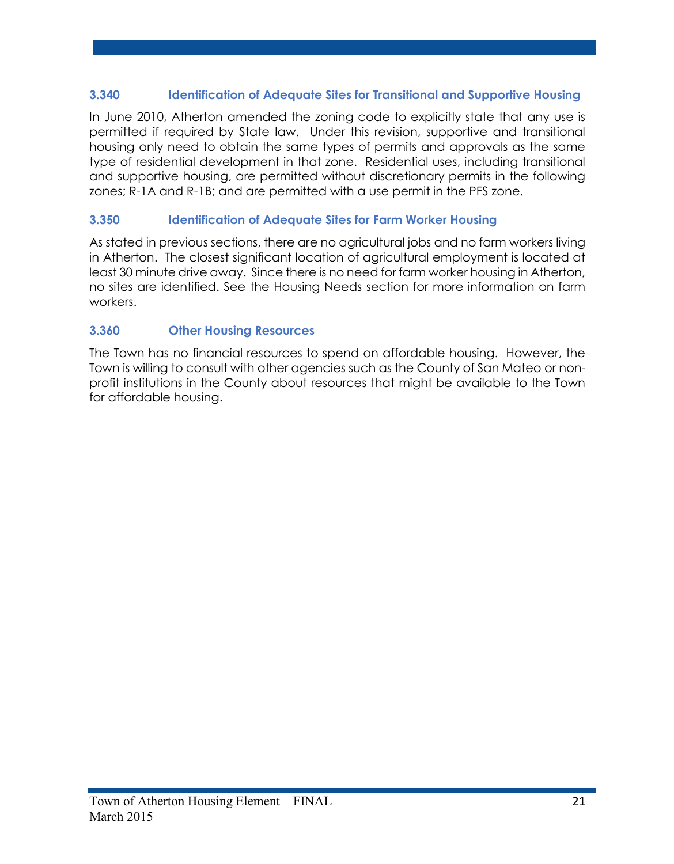# **3.340 Identification of Adequate Sites for Transitional and Supportive Housing**

In June 2010, Atherton amended the zoning code to explicitly state that any use is permitted if required by State law. Under this revision, supportive and transitional housing only need to obtain the same types of permits and approvals as the same type of residential development in that zone. Residential uses, including transitional and supportive housing, are permitted without discretionary permits in the following zones; R-1A and R-1B; and are permitted with a use permit in the PFS zone.

# **3.350 Identification of Adequate Sites for Farm Worker Housing**

As stated in previous sections, there are no agricultural jobs and no farm workers living in Atherton. The closest significant location of agricultural employment is located at least 30 minute drive away. Since there is no need for farm worker housing in Atherton, no sites are identified. See the Housing Needs section for more information on farm workers.

# **3.360 Other Housing Resources**

The Town has no financial resources to spend on affordable housing. However, the Town is willing to consult with other agencies such as the County of San Mateo or nonprofit institutions in the County about resources that might be available to the Town for affordable housing.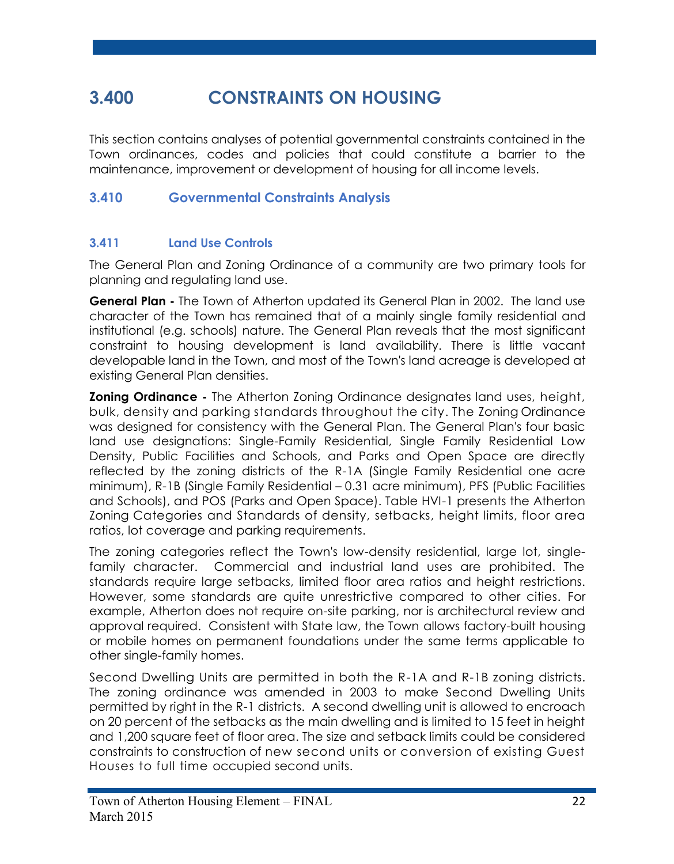# **3.400 CONSTRAINTS ON HOUSING**

This section contains analyses of potential governmental constraints contained in the Town ordinances, codes and policies that could constitute a barrier to the maintenance, improvement or development of housing for all income levels.

# **3.410 Governmental Constraints Analysis**

# **3.411 Land Use Controls**

The General Plan and Zoning Ordinance of a community are two primary tools for planning and regulating land use.

**General Plan -** The Town of Atherton updated its General Plan in 2002. The land use character of the Town has remained that of a mainly single family residential and institutional (e.g. schools) nature. The General Plan reveals that the most significant constraint to housing development is land availability. There is little vacant developable land in the Town, and most of the Town's land acreage is developed at existing General Plan densities.

**Zoning Ordinance -** The Atherton Zoning Ordinance designates land uses, height, bulk, density and parking standards throughout the city. The Zoning Ordinance was designed for consistency with the General Plan. The General Plan's four basic land use designations: Single-Family Residential, Single Family Residential Low Density, Public Facilities and Schools, and Parks and Open Space are directly reflected by the zoning districts of the R-1A (Single Family Residential one acre minimum), R-1B (Single Family Residential – 0.31 acre minimum), PFS (Public Facilities and Schools), and POS (Parks and Open Space). Table HVI-1 presents the Atherton Zoning Categories and Standards of density, setbacks, height limits, floor area ratios, lot coverage and parking requirements.

The zoning categories reflect the Town's low-density residential, large lot, singlefamily character. Commercial and industrial land uses are prohibited. The standards require large setbacks, limited floor area ratios and height restrictions. However, some standards are quite unrestrictive compared to other cities. For example, Atherton does not require on-site parking, nor is architectural review and approval required. Consistent with State law, the Town allows factory-built housing or mobile homes on permanent foundations under the same terms applicable to other single-family homes.

Second Dwelling Units are permitted in both the R-1A and R-1B zoning districts. The zoning ordinance was amended in 2003 to make Second Dwelling Units permitted by right in the R-1 districts. A second dwelling unit is allowed to encroach on 20 percent of the setbacks as the main dwelling and is limited to 15 feet in height and 1,200 square feet of floor area. The size and setback limits could be considered constraints to construction of new second units or conversion of existing Guest Houses to full time occupied second units.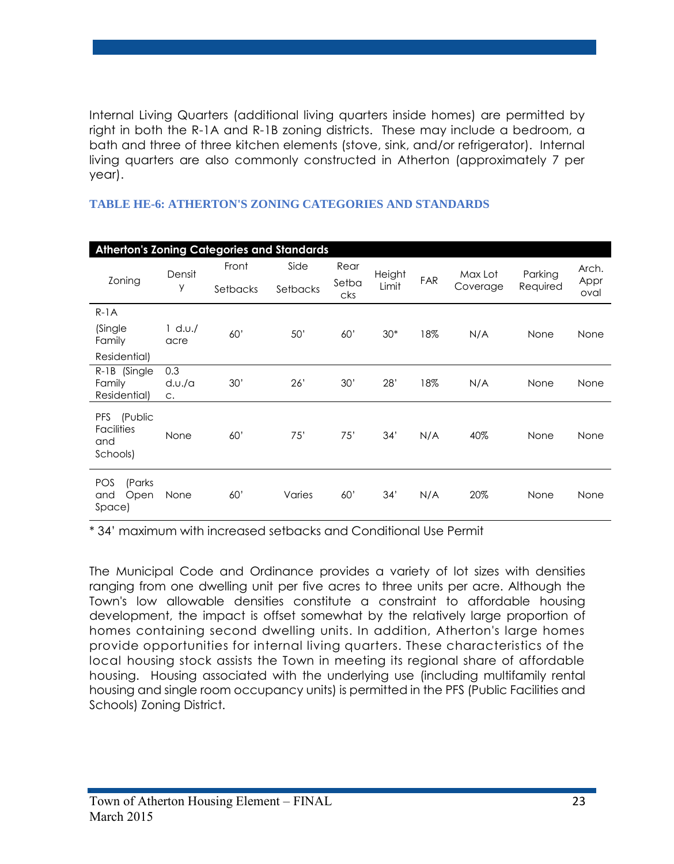Internal Living Quarters (additional living quarters inside homes) are permitted by right in both the R-1A and R-1B zoning districts. These may include a bedroom, a bath and three of three kitchen elements (stove, sink, and/or refrigerator). Internal living quarters are also commonly constructed in Atherton (approximately 7 per year).

| <b>Atherton's Zoning Categories and Standards</b>      |                        |          |          |              |        |            |          |          |              |
|--------------------------------------------------------|------------------------|----------|----------|--------------|--------|------------|----------|----------|--------------|
|                                                        | Densit                 | Front    | Side     | Rear         | Height |            | Max Lot  | Parking  | Arch.        |
| Zoning                                                 | y                      | Setbacks | Setbacks | Setba<br>cks | Limit  | <b>FAR</b> | Coverage | Required | Appr<br>oval |
| $R-1A$                                                 |                        |          |          |              |        |            |          |          |              |
| (Single<br>Family                                      | $1$ d.u./<br>acre      | 60'      | 50'      | 60'          | $30*$  | 18%        | N/A      | None     | None         |
| Residential)                                           |                        |          |          |              |        |            |          |          |              |
| R-1B (Single<br>Family<br>Residential)                 | 0.3<br>$d.v.$ /a<br>C. | 30'      | 26'      | 30'          | 28'    | 18%        | N/A      | None     | None         |
| (Public<br>PFS<br><b>Facilities</b><br>and<br>Schools) | None                   | 60'      | 75'      | 75'          | 34'    | N/A        | 40%      | None     | None         |
| (Parks<br><b>POS</b><br>Open<br>and<br>Space)          | None                   | 60'      | Varies   | 60'          | 34'    | N/A        | 20%      | None     | None         |

#### **TABLE HE-6: ATHERTON'S ZONING CATEGORIES AND STANDARDS**

\* 34' maximum with increased setbacks and Conditional Use Permit

The Municipal Code and Ordinance provides a variety of lot sizes with densities ranging from one dwelling unit per five acres to three units per acre. Although the Town's low allowable densities constitute a constraint to affordable housing development, the impact is offset somewhat by the relatively large proportion of homes containing second dwelling units. In addition, Atherton's large homes provide opportunities for internal living quarters. These characteristics of the local housing stock assists the Town in meeting its regional share of affordable housing. Housing associated with the underlying use (including multifamily rental housing and single room occupancy units) is permitted in the PFS (Public Facilities and Schools) Zoning District.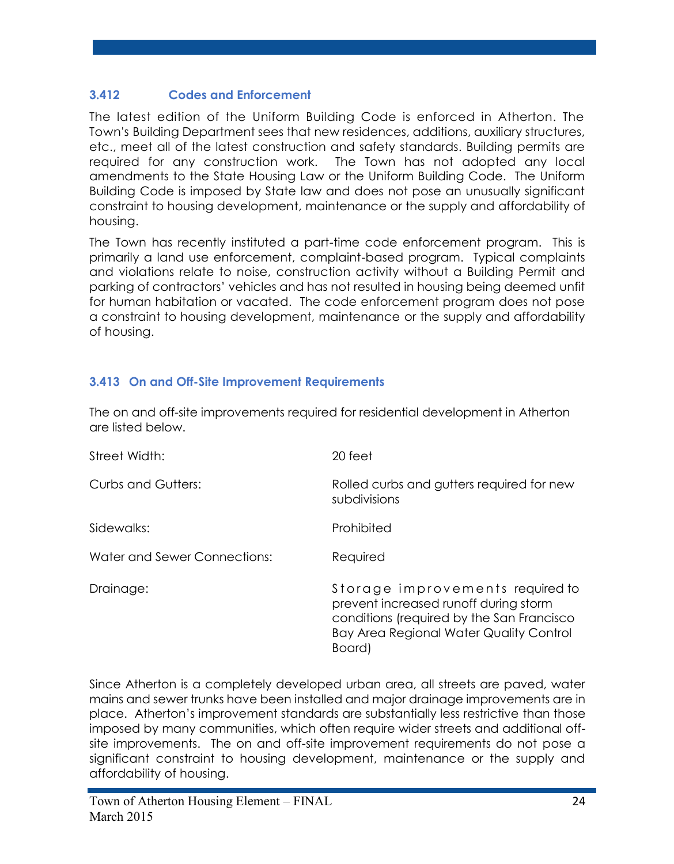# **3.412 Codes and Enforcement**

The latest edition of the Uniform Building Code is enforced in Atherton. The Town's Building Department sees that new residences, additions, auxiliary structures, etc., meet all of the latest construction and safety standards. Building permits are required for any construction work. The Town has not adopted any local amendments to the State Housing Law or the Uniform Building Code. The Uniform Building Code is imposed by State law and does not pose an unusually significant constraint to housing development, maintenance or the supply and affordability of housing.

The Town has recently instituted a part-time code enforcement program. This is primarily a land use enforcement, complaint-based program. Typical complaints and violations relate to noise, construction activity without a Building Permit and parking of contractors' vehicles and has not resulted in housing being deemed unfit for human habitation or vacated. The code enforcement program does not pose a constraint to housing development, maintenance or the supply and affordability of housing.

# **3.413 On and Off-Site Improvement Requirements**

The on and off-site improvements required for residential development in Atherton are listed below.

| Street Width:                | 20 feet                                                                                                                                                                            |
|------------------------------|------------------------------------------------------------------------------------------------------------------------------------------------------------------------------------|
| <b>Curbs and Gutters:</b>    | Rolled curbs and gutters required for new<br>subdivisions                                                                                                                          |
| Sidewalks:                   | Prohibited                                                                                                                                                                         |
| Water and Sewer Connections: | Required                                                                                                                                                                           |
| Drainage:                    | Storage improvements required to<br>prevent increased runoff during storm<br>conditions (required by the San Francisco<br><b>Bay Area Regional Water Quality Control</b><br>Board) |

Since Atherton is a completely developed urban area, all streets are paved, water mains and sewer trunks have been installed and major drainage improvements are in place. Atherton's improvement standards are substantially less restrictive than those imposed by many communities, which often require wider streets and additional offsite improvements. The on and off-site improvement requirements do not pose a significant constraint to housing development, maintenance or the supply and affordability of housing.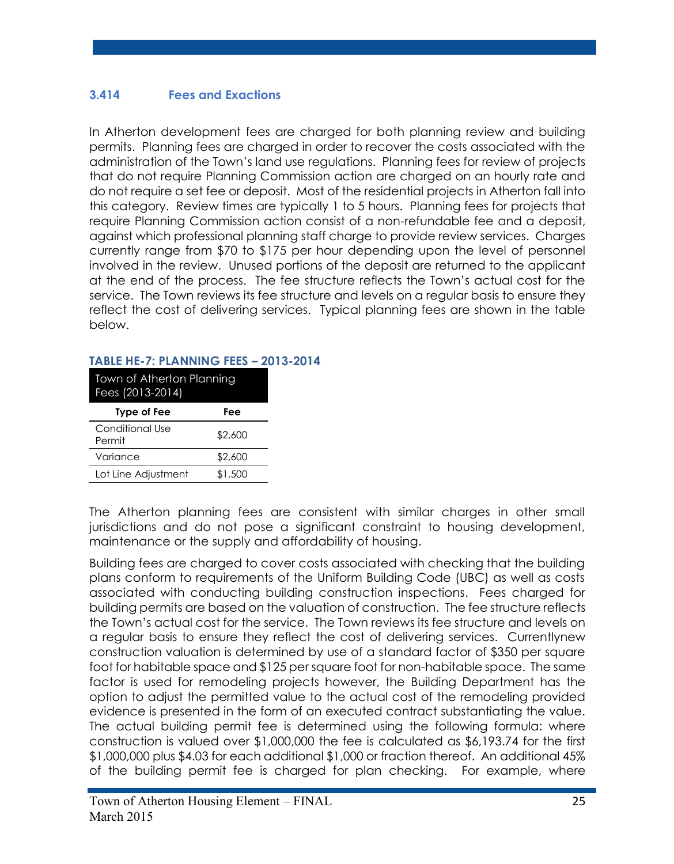# **3.414 Fees and Exactions**

In Atherton development fees are charged for both planning review and building permits. Planning fees are charged in order to recover the costs associated with the administration of the Town's land use regulations. Planning fees for review of projects that do not require Planning Commission action are charged on an hourly rate and do not require a set fee or deposit. Most of the residential projects in Atherton fall into this category. Review times are typically 1 to 5 hours. Planning fees for projects that require Planning Commission action consist of a non-refundable fee and a deposit, against which professional planning staff charge to provide review services. Charges currently range from \$70 to \$175 per hour depending upon the level of personnel involved in the review. Unused portions of the deposit are returned to the applicant at the end of the process. The fee structure reflects the Town's actual cost for the service. The Town reviews its fee structure and levels on a regular basis to ensure they reflect the cost of delivering services. Typical planning fees are shown in the table below.

#### **TABLE HE-7: PLANNING FEES – 2013-2014**

| Town of Atherton Planning<br>Fees (2013-2014) |         |  |  |  |
|-----------------------------------------------|---------|--|--|--|
| <b>Type of Fee</b>                            | Fee     |  |  |  |
| Conditional Use<br>Permit                     | \$2,600 |  |  |  |
| Variance                                      | \$2,600 |  |  |  |
| Lot Line Adjustment                           | \$1,500 |  |  |  |

The Atherton planning fees are consistent with similar charges in other small jurisdictions and do not pose a significant constraint to housing development, maintenance or the supply and affordability of housing.

Building fees are charged to cover costs associated with checking that the building plans conform to requirements of the Uniform Building Code (UBC) as well as costs associated with conducting building construction inspections. Fees charged for building permits are based on the valuation of construction.The fee structure reflects the Town's actual cost for the service. The Town reviews its fee structure and levels on a regular basis to ensure they reflect the cost of delivering services. Currentlynew construction valuation is determined by use of a standard factor of \$350 per square foot for habitable space and \$125 per square foot for non-habitable space. The same factor is used for remodeling projects however, the Building Department has the option to adjust the permitted value to the actual cost of the remodeling provided evidence is presented in the form of an executed contract substantiating the value. The actual building permit fee is determined using the following formula: where construction is valued over \$1,000,000 the fee is calculated as \$6,193.74 for the first \$1,000,000 plus \$4.03 for each additional \$1,000 or fraction thereof. An additional 45% of the building permit fee is charged for plan checking. For example, where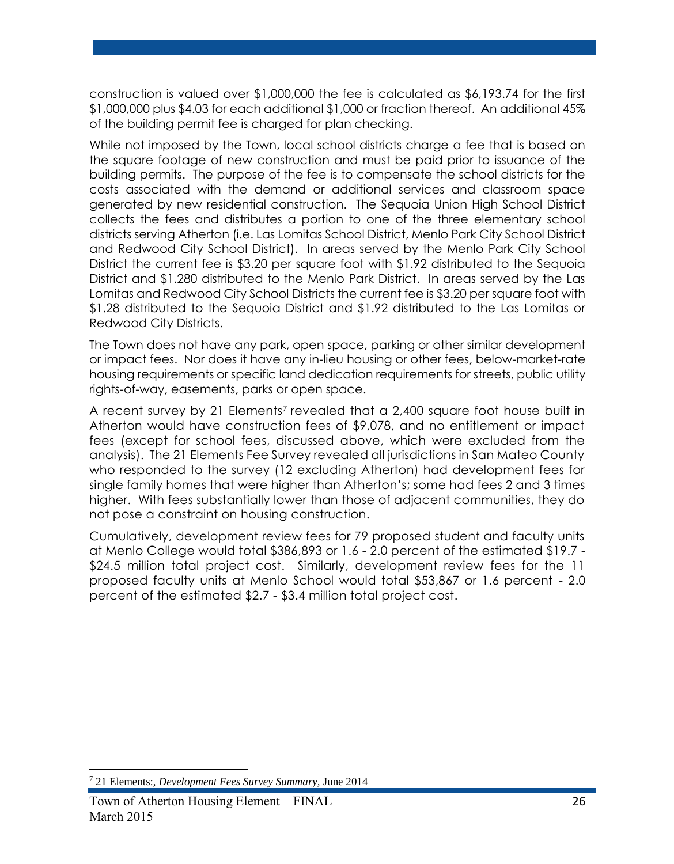construction is valued over \$1,000,000 the fee is calculated as \$6,193.74 for the first \$1,000,000 plus \$4.03 for each additional \$1,000 or fraction thereof. An additional 45% of the building permit fee is charged for plan checking.

While not imposed by the Town, local school districts charge a fee that is based on the square footage of new construction and must be paid prior to issuance of the building permits. The purpose of the fee is to compensate the school districts for the costs associated with the demand or additional services and classroom space generated by new residential construction. The Sequoia Union High School District collects the fees and distributes a portion to one of the three elementary school districts serving Atherton (i.e. Las Lomitas School District, Menlo Park City School District and Redwood City School District). In areas served by the Menlo Park City School District the current fee is \$3.20 per square foot with \$1.92 distributed to the Sequoia District and \$1.280 distributed to the Menlo Park District. In areas served by the Las Lomitas and Redwood City School Districts the current fee is \$3.20 per square foot with \$1.28 distributed to the Sequoia District and \$1.92 distributed to the Las Lomitas or Redwood City Districts.

The Town does not have any park, open space, parking or other similar development or impact fees. Nor does it have any in-lieu housing or other fees, below-market-rate housing requirements or specific land dedication requirements for streets, public utility rights-of-way, easements, parks or open space.

A recent survey by 21 Elements<sup>7</sup> revealed that a 2,400 square foot house built in Atherton would have construction fees of \$9,078, and no entitlement or impact fees (except for school fees, discussed above, which were excluded from the analysis). The 21 Elements Fee Survey revealed all jurisdictions in San Mateo County who responded to the survey (12 excluding Atherton) had development fees for single family homes that were higher than Atherton's; some had fees 2 and 3 times higher. With fees substantially lower than those of adjacent communities, they do not pose a constraint on housing construction.

Cumulatively, development review fees for 79 proposed student and faculty units at Menlo College would total \$386,893 or 1.6 - 2.0 percent of the estimated \$19.7 - \$24.5 million total project cost. Similarly, development review fees for the 11 proposed faculty units at Menlo School would total \$53,867 or 1.6 percent - 2.0 percent of the estimated \$2.7 - \$3.4 million total project cost.

 $\overline{a}$ 

<sup>7</sup> 21 Elements:, *Development Fees Survey Summary,* June 2014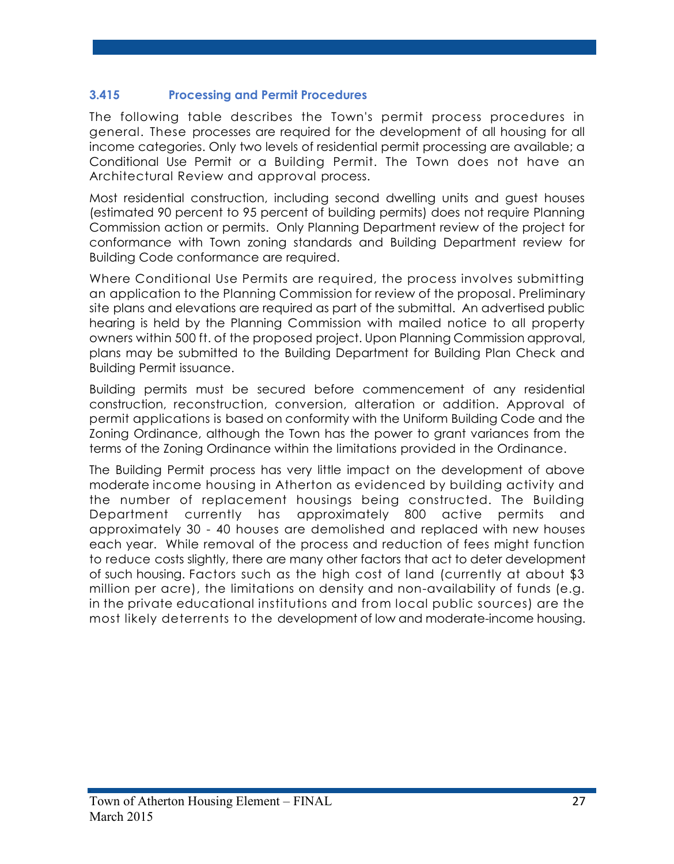## **3.415 Processing and Permit Procedures**

The following table describes the Town's permit process procedures in general. These processes are required for the development of all housing for all income categories. Only two levels of residential permit processing are available; a Conditional Use Permit or a Building Permit. The Town does not have an Architectural Review and approval process.

Most residential construction, including second dwelling units and guest houses (estimated 90 percent to 95 percent of building permits) does not require Planning Commission action or permits. Only Planning Department review of the project for conformance with Town zoning standards and Building Department review for Building Code conformance are required.

Where Conditional Use Permits are required, the process involves submitting an application to the Planning Commission for review of the proposal. Preliminary site plans and elevations are required as part of the submittal. An advertised public hearing is held by the Planning Commission with mailed notice to all property owners within 500 ft. of the proposed project. Upon Planning Commission approval, plans may be submitted to the Building Department for Building Plan Check and Building Permit issuance.

Building permits must be secured before commencement of any residential construction, reconstruction, conversion, alteration or addition. Approval of permit applications is based on conformity with the Uniform Building Code and the Zoning Ordinance, although the Town has the power to grant variances from the terms of the Zoning Ordinance within the limitations provided in the Ordinance.

The Building Permit process has very little impact on the development of above moderate income housing in Atherton as evidenced by building activity and the number of replacement housings being constructed. The Building Department currently has approximately 800 active permits and approximately 30 - 40 houses are demolished and replaced with new houses each year. While removal of the process and reduction of fees might function to reduce costs slightly, there are many other factors that act to deter development of such housing. Factors such as the high cost of land (currently at about \$3 million per acre), the limitations on density and non-availability of funds (e.g. in the private educational institutions and from local public sources) are the most likely deterrents to the development of low and moderate-income housing.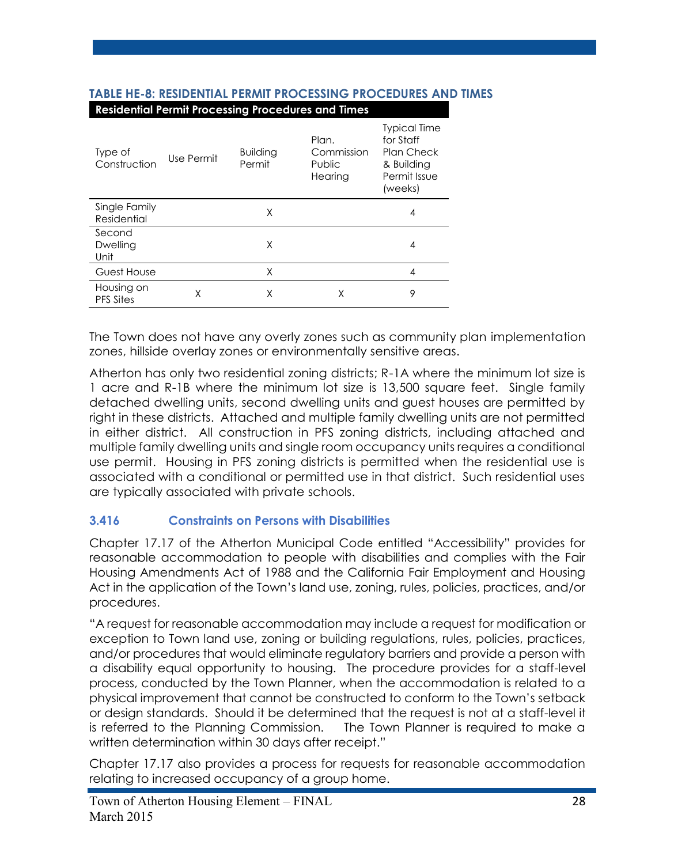|                                | <b>Kesiderman refirmi ribecssing</b> | .                         | <u>coación</u> and impo                  |                                                                                                |
|--------------------------------|--------------------------------------|---------------------------|------------------------------------------|------------------------------------------------------------------------------------------------|
| Type of<br>Construction        | Use Permit                           | <b>Building</b><br>Permit | Plan.<br>Commission<br>Public<br>Hearing | <b>Typical Time</b><br>for Staff<br><b>Plan Check</b><br>& Building<br>Permit Issue<br>(weeks) |
| Single Family<br>Residential   |                                      | X                         |                                          | 4                                                                                              |
| Second<br>Dwelling<br>Unit     |                                      | X                         |                                          | 4                                                                                              |
| Guest House                    |                                      | X                         |                                          | 4                                                                                              |
| Housing on<br><b>PFS Sites</b> | χ                                    | Χ                         | Χ                                        | 9                                                                                              |

#### **TABLE HE-8: RESIDENTIAL PERMIT PROCESSING PROCEDURES AND TIMES Residential Permit Processing Procedures and Times**

The Town does not have any overly zones such as community plan implementation zones, hillside overlay zones or environmentally sensitive areas.

Atherton has only two residential zoning districts; R-1A where the minimum lot size is 1 acre and R-1B where the minimum lot size is 13,500 square feet. Single family detached dwelling units, second dwelling units and guest houses are permitted by right in these districts. Attached and multiple family dwelling units are not permitted in either district. All construction in PFS zoning districts, including attached and multiple family dwelling units and single room occupancy units requires a conditional use permit. Housing in PFS zoning districts is permitted when the residential use is associated with a conditional or permitted use in that district. Such residential uses are typically associated with private schools.

# **3.416 Constraints on Persons with Disabilities**

Chapter 17.17 of the Atherton Municipal Code entitled "Accessibility" provides for reasonable accommodation to people with disabilities and complies with the Fair Housing Amendments Act of 1988 and the California Fair Employment and Housing Act in the application of the Town's land use, zoning, rules, policies, practices, and/or procedures.

"A request for reasonable accommodation may include a request for modification or exception to Town land use, zoning or building regulations, rules, policies, practices, and/or procedures that would eliminate regulatory barriers and provide a person with a disability equal opportunity to housing. The procedure provides for a staff-level process, conducted by the Town Planner, when the accommodation is related to a physical improvement that cannot be constructed to conform to the Town's setback or design standards. Should it be determined that the request is not at a staff-level it is referred to the Planning Commission. The Town Planner is required to make a written determination within 30 days after receipt."

Chapter 17.17 also provides a process for requests for reasonable accommodation relating to increased occupancy of a group home.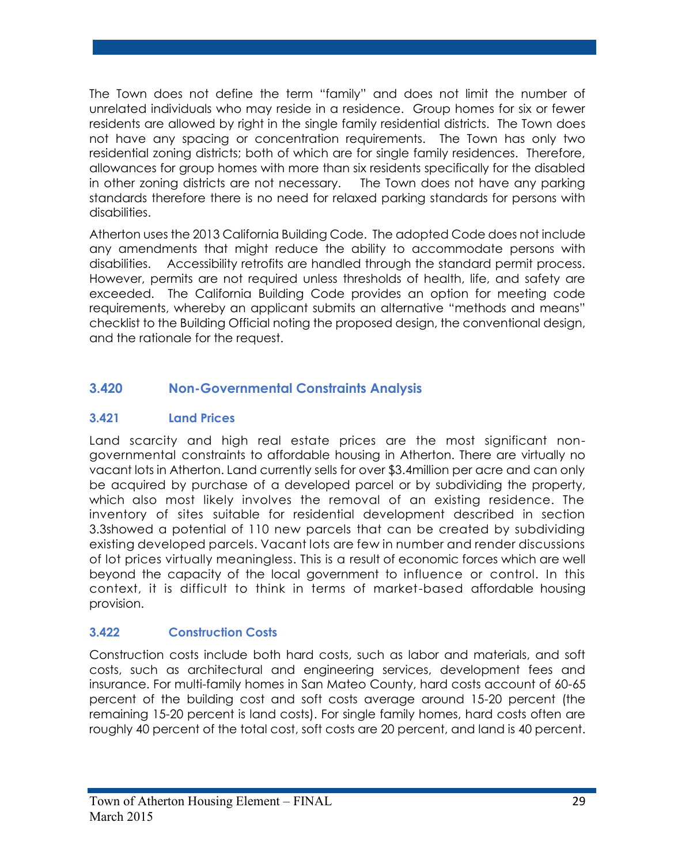The Town does not define the term "family" and does not limit the number of unrelated individuals who may reside in a residence. Group homes for six or fewer residents are allowed by right in the single family residential districts. The Town does not have any spacing or concentration requirements. The Town has only two residential zoning districts; both of which are for single family residences. Therefore, allowances for group homes with more than six residents specifically for the disabled in other zoning districts are not necessary. The Town does not have any parking standards therefore there is no need for relaxed parking standards for persons with disabilities.

Atherton uses the 2013 California Building Code. The adopted Code does not include any amendments that might reduce the ability to accommodate persons with disabilities. Accessibility retrofits are handled through the standard permit process. However, permits are not required unless thresholds of health, life, and safety are exceeded. The California Building Code provides an option for meeting code requirements, whereby an applicant submits an alternative "methods and means" checklist to the Building Official noting the proposed design, the conventional design, and the rationale for the request.

# **3.420 Non-Governmental Constraints Analysis**

# **3.421 Land Prices**

Land scarcity and high real estate prices are the most significant nongovernmental constraints to affordable housing in Atherton. There are virtually no vacant lots in Atherton. Land currently sells for over \$3.4million per acre and can only be acquired by purchase of a developed parcel or by subdividing the property, which also most likely involves the removal of an existing residence. The inventory of sites suitable for residential development described in section 3.3showed a potential of 110 new parcels that can be created by subdividing existing developed parcels. Vacant lots are few in number and render discussions of lot prices virtually meaningless. This is a result of economic forces which are well beyond the capacity of the local government to influence or control. In this context, it is difficult to think in terms of market-based affordable housing provision.

# **3.422 Construction Costs**

Construction costs include both hard costs, such as labor and materials, and soft costs, such as architectural and engineering services, development fees and insurance. For multi-family homes in San Mateo County, hard costs account of 60-65 percent of the building cost and soft costs average around 15-20 percent (the remaining 15-20 percent is land costs). For single family homes, hard costs often are roughly 40 percent of the total cost, soft costs are 20 percent, and land is 40 percent.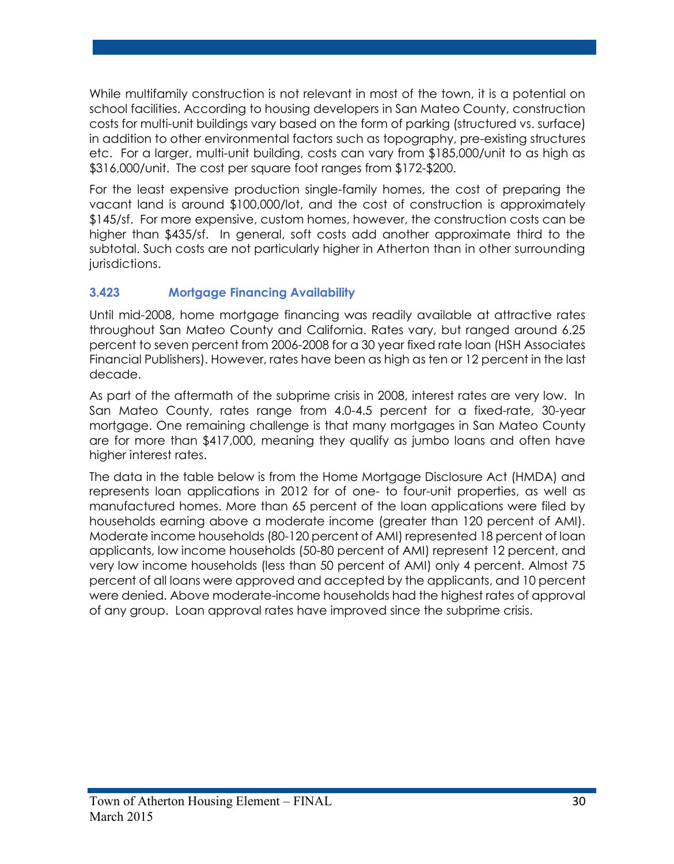While multifamily construction is not relevant in most of the town, it is a potential on school facilities. According to housing developers in San Mateo County, construction costs for multi-unit buildings vary based on the form of parking (structured vs. surface) in addition to other environmental factors such as topography, pre-existing structures etc. For a larger, multi-unit building, costs can vary from \$185,000/unit to as high as \$316,000/unit. The cost per square foot ranges from \$172-\$200.

For the least expensive production single-family homes, the cost of preparing the vacant land is around \$100,000/lot, and the cost of construction is approximately \$145/sf. For more expensive, custom homes, however, the construction costs can be higher than \$435/sf. In general, soft costs add another approximate third to the subtotal. Such costs are not particularly higher in Atherton than in other surrounding jurisdictions.

# **3.423 Mortgage Financing Availability**

Until mid-2008, home mortgage financing was readily available at attractive rates throughout San Mateo County and California. Rates vary, but ranged around 6.25 percent to seven percent from 2006-2008 for a 30 year fixed rate loan (HSH Associates Financial Publishers). However, rates have been as high as ten or 12 percent in the last decade.

As part of the aftermath of the subprime crisis in 2008, interest rates are very low. In San Mateo County, rates range from 4.0-4.5 percent for a fixed-rate, 30-year mortgage. One remaining challenge is that many mortgages in San Mateo County are for more than \$417,000, meaning they qualify as jumbo loans and often have higher interest rates.

The data in the table below is from the Home Mortgage Disclosure Act (HMDA) and represents loan applications in 2012 for of one- to four-unit properties, as well as manufactured homes. More than 65 percent of the loan applications were filed by households earning above a moderate income (greater than 120 percent of AMI). Moderate income households (80-120 percent of AMI) represented 18 percent of loan applicants, low income households (50-80 percent of AMI) represent 12 percent, and very low income households (less than 50 percent of AMI) only 4 percent. Almost 75 percent of all loans were approved and accepted by the applicants, and 10 percent were denied. Above moderate-income households had the highest rates of approval of any group. Loan approval rates have improved since the subprime crisis.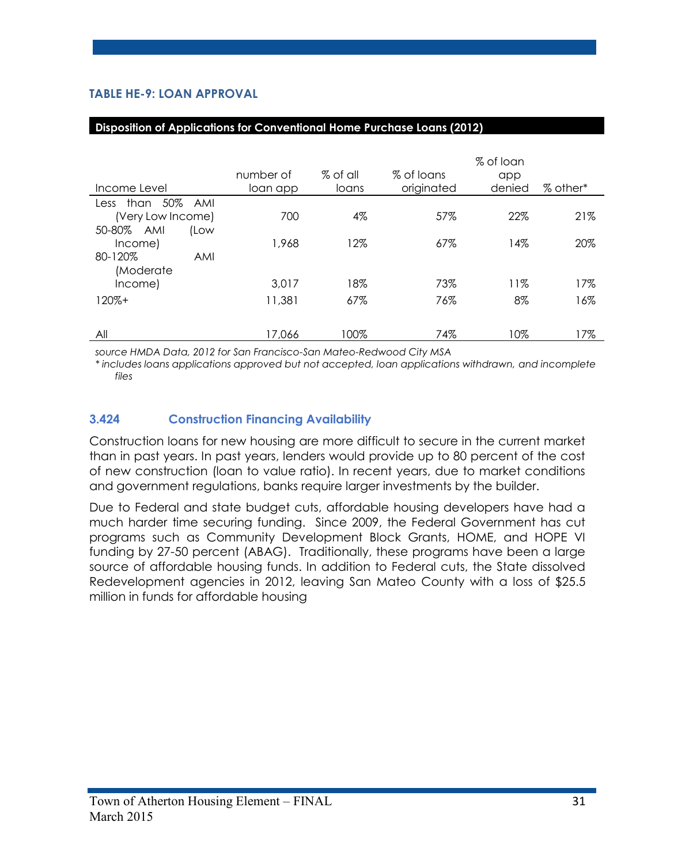# **TABLE HE-9: LOAN APPROVAL**

| Income Level                | number of<br>loan app | $%$ of all<br>loans | % of loans<br>originated | % of loan<br>app<br>denied | % other* |
|-----------------------------|-----------------------|---------------------|--------------------------|----------------------------|----------|
| than 50% AMI<br>Less        |                       |                     |                          |                            |          |
| (Very Low Income)           | 700                   | 4%                  | 57%                      | 22%                        | 21%      |
| 50-80% AMI<br>(Low          |                       |                     |                          |                            |          |
| Income)                     | 1,968                 | 12%                 | 67%                      | 14%                        | 20%      |
| 80-120%<br>AMI<br>(Moderate |                       |                     |                          |                            |          |
| Income)                     | 3.017                 | 18%                 | 73%                      | 11%                        | 17%      |
| $120% +$                    | 11,381                | 67%                 | 76%                      | 8%                         | 16%      |
|                             |                       |                     |                          |                            |          |
| All                         | 17,066                | 100%                | 74%                      | 10%                        | 17%      |

#### **Disposition of Applications for Conventional Home Purchase Loans (2012)**

*source HMDA Data, 2012 for San Francisco-San Mateo-Redwood City MSA*

*\* includes loans applications approved but not accepted, loan applications withdrawn, and incomplete files*

#### **3.424 Construction Financing Availability**

Construction loans for new housing are more difficult to secure in the current market than in past years. In past years, lenders would provide up to 80 percent of the cost of new construction (loan to value ratio). In recent years, due to market conditions and government regulations, banks require larger investments by the builder.

Due to Federal and state budget cuts, affordable housing developers have had a much harder time securing funding. Since 2009, the Federal Government has cut programs such as Community Development Block Grants, HOME, and HOPE VI funding by 27-50 percent (ABAG). Traditionally, these programs have been a large source of affordable housing funds. In addition to Federal cuts, the State dissolved Redevelopment agencies in 2012, leaving San Mateo County with a loss of \$25.5 million in funds for affordable housing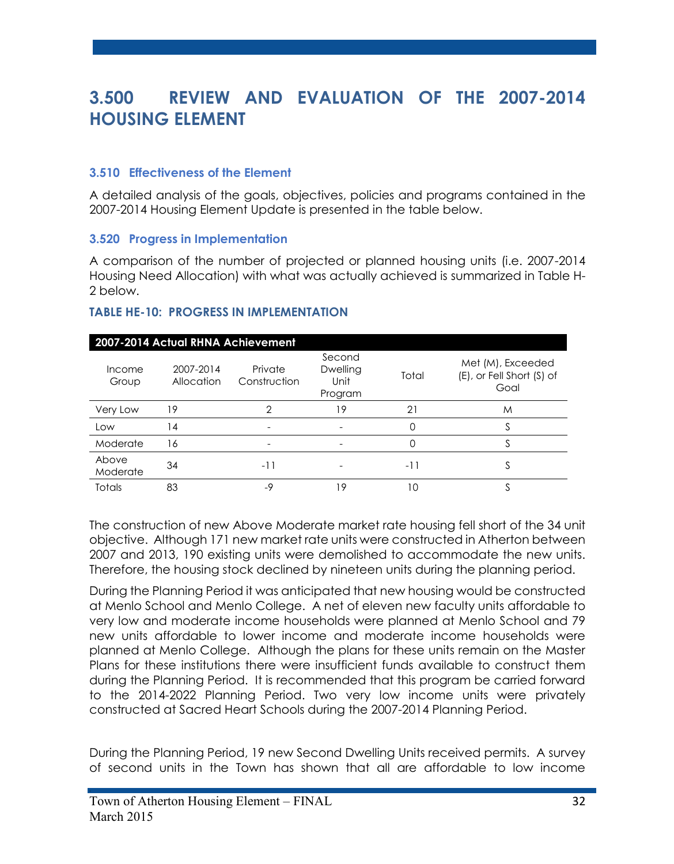# **3.500 REVIEW AND EVALUATION OF THE 2007-2014 HOUSING ELEMENT**

#### **3.510 Effectiveness of the Element**

A detailed analysis of the goals, objectives, policies and programs contained in the 2007-2014 Housing Element Update is presented in the table below.

#### **3.520 Progress in Implementation**

A comparison of the number of projected or planned housing units (i.e. 2007-2014 Housing Need Allocation) with what was actually achieved is summarized in Table H-2 below.

#### **TABLE HE-10: PROGRESS IN IMPLEMENTATION**

| 2007-2014 Actual RHNA Achievement |                         |                         |                                       |       |                                                        |  |
|-----------------------------------|-------------------------|-------------------------|---------------------------------------|-------|--------------------------------------------------------|--|
| Income<br>Group                   | 2007-2014<br>Allocation | Private<br>Construction | Second<br>Dwelling<br>Unit<br>Program | Total | Met (M), Exceeded<br>(E), or Fell Short (S) of<br>Goal |  |
| Very Low                          | 19                      | っ                       | 19                                    | 21    | M                                                      |  |
| Low                               | 14                      |                         |                                       | 0     |                                                        |  |
| Moderate                          | 16                      |                         |                                       | Ω     |                                                        |  |
| Above<br>Moderate                 | 34                      | -11                     |                                       | -11   | C                                                      |  |
| <b>Totals</b>                     | 83                      | $-9$                    | 19                                    | 10    |                                                        |  |

The construction of new Above Moderate market rate housing fell short of the 34 unit objective. Although 171 new market rate units were constructed in Atherton between 2007 and 2013, 190 existing units were demolished to accommodate the new units. Therefore, the housing stock declined by nineteen units during the planning period.

During the Planning Period it was anticipated that new housing would be constructed at Menlo School and Menlo College. A net of eleven new faculty units affordable to very low and moderate income households were planned at Menlo School and 79 new units affordable to lower income and moderate income households were planned at Menlo College. Although the plans for these units remain on the Master Plans for these institutions there were insufficient funds available to construct them during the Planning Period. It is recommended that this program be carried forward to the 2014-2022 Planning Period. Two very low income units were privately constructed at Sacred Heart Schools during the 2007-2014 Planning Period.

During the Planning Period, 19 new Second Dwelling Units received permits. A survey of second units in the Town has shown that all are affordable to low income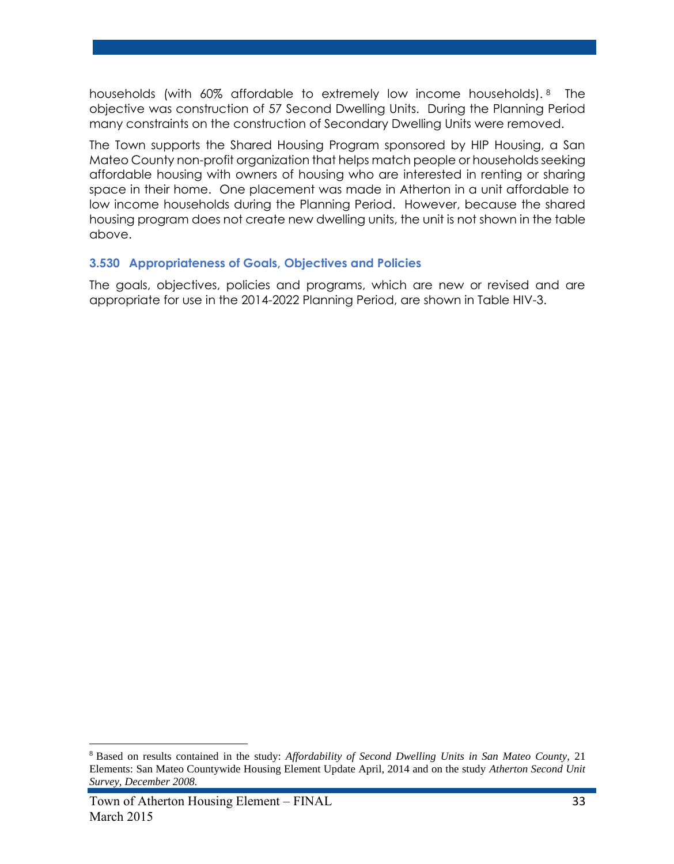households (with 60% affordable to extremely low income households). <sup>8</sup> The objective was construction of 57 Second Dwelling Units. During the Planning Period many constraints on the construction of Secondary Dwelling Units were removed.

The Town supports the Shared Housing Program sponsored by HIP Housing, a San Mateo County non-profit organization that helps match people or households seeking affordable housing with owners of housing who are interested in renting or sharing space in their home. One placement was made in Atherton in a unit affordable to low income households during the Planning Period. However, because the shared housing program does not create new dwelling units, the unit is not shown in the table above.

#### **3.530 Appropriateness of Goals, Objectives and Policies**

The goals, objectives, policies and programs, which are new or revised and are appropriate for use in the 2014-2022 Planning Period, are shown in Table HIV-3.

 $\overline{a}$ 

<sup>8</sup> Based on results contained in the study: *Affordability of Second Dwelling Units in San Mateo County,* 21 Elements: San Mateo Countywide Housing Element Update April, 2014 and on the study *Atherton Second Unit Survey, December 2008.*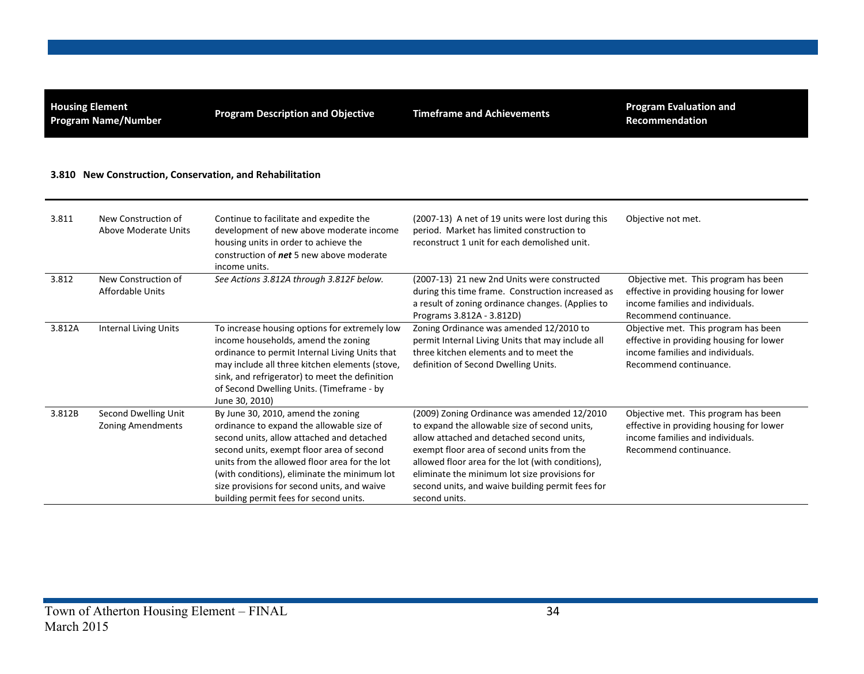**Housing Element**

**Program Description and Objective Timeframe and Achievements Program Evaluation and Program Evaluation and Recommendation**

#### **3.810 New Construction, Conservation, and Rehabilitation**

| 3.811  | New Construction of<br>Above Moderate Units      | Continue to facilitate and expedite the<br>development of new above moderate income<br>housing units in order to achieve the<br>construction of <b>net</b> 5 new above moderate<br>income units.                                                                                                                                                                    | (2007-13) A net of 19 units were lost during this<br>period. Market has limited construction to<br>reconstruct 1 unit for each demolished unit.                                                                                                                                                                                                                    | Objective not met.                                                                                                                             |
|--------|--------------------------------------------------|---------------------------------------------------------------------------------------------------------------------------------------------------------------------------------------------------------------------------------------------------------------------------------------------------------------------------------------------------------------------|--------------------------------------------------------------------------------------------------------------------------------------------------------------------------------------------------------------------------------------------------------------------------------------------------------------------------------------------------------------------|------------------------------------------------------------------------------------------------------------------------------------------------|
| 3.812  | New Construction of<br>Affordable Units          | See Actions 3.812A through 3.812F below.                                                                                                                                                                                                                                                                                                                            | (2007-13) 21 new 2nd Units were constructed<br>during this time frame. Construction increased as<br>a result of zoning ordinance changes. (Applies to<br>Programs 3.812A - 3.812D)                                                                                                                                                                                 | Objective met. This program has been<br>effective in providing housing for lower<br>income families and individuals.<br>Recommend continuance. |
| 3.812A | <b>Internal Living Units</b>                     | To increase housing options for extremely low<br>income households, amend the zoning<br>ordinance to permit Internal Living Units that<br>may include all three kitchen elements (stove,<br>sink, and refrigerator) to meet the definition<br>of Second Dwelling Units. (Timeframe - by<br>June 30, 2010)                                                           | Zoning Ordinance was amended 12/2010 to<br>permit Internal Living Units that may include all<br>three kitchen elements and to meet the<br>definition of Second Dwelling Units.                                                                                                                                                                                     | Objective met. This program has been<br>effective in providing housing for lower<br>income families and individuals.<br>Recommend continuance. |
| 3.812B | Second Dwelling Unit<br><b>Zoning Amendments</b> | By June 30, 2010, amend the zoning<br>ordinance to expand the allowable size of<br>second units, allow attached and detached<br>second units, exempt floor area of second<br>units from the allowed floor area for the lot<br>(with conditions), eliminate the minimum lot<br>size provisions for second units, and waive<br>building permit fees for second units. | (2009) Zoning Ordinance was amended 12/2010<br>to expand the allowable size of second units,<br>allow attached and detached second units,<br>exempt floor area of second units from the<br>allowed floor area for the lot (with conditions),<br>eliminate the minimum lot size provisions for<br>second units, and waive building permit fees for<br>second units. | Objective met. This program has been<br>effective in providing housing for lower<br>income families and individuals.<br>Recommend continuance. |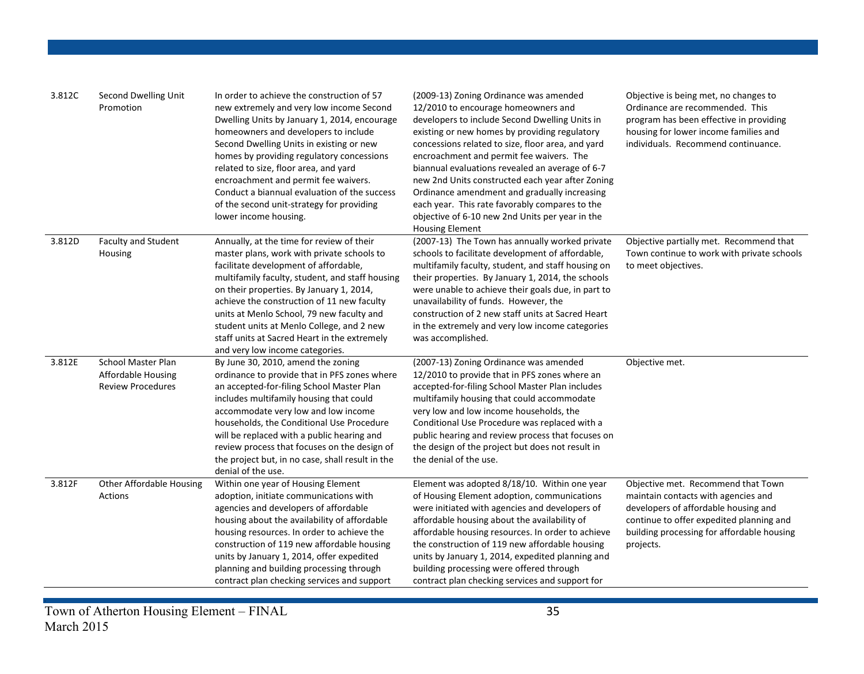| 3.812C | Second Dwelling Unit<br>Promotion                                    | In order to achieve the construction of 57<br>new extremely and very low income Second<br>Dwelling Units by January 1, 2014, encourage<br>homeowners and developers to include<br>Second Dwelling Units in existing or new<br>homes by providing regulatory concessions<br>related to size, floor area, and yard<br>encroachment and permit fee waivers.<br>Conduct a biannual evaluation of the success<br>of the second unit-strategy for providing<br>lower income housing. | (2009-13) Zoning Ordinance was amended<br>12/2010 to encourage homeowners and<br>developers to include Second Dwelling Units in<br>existing or new homes by providing regulatory<br>concessions related to size, floor area, and yard<br>encroachment and permit fee waivers. The<br>biannual evaluations revealed an average of 6-7<br>new 2nd Units constructed each year after Zoning<br>Ordinance amendment and gradually increasing<br>each year. This rate favorably compares to the<br>objective of 6-10 new 2nd Units per year in the<br><b>Housing Element</b> | Objective is being met, no changes to<br>Ordinance are recommended. This<br>program has been effective in providing<br>housing for lower income families and<br>individuals. Recommend continuance.                      |
|--------|----------------------------------------------------------------------|--------------------------------------------------------------------------------------------------------------------------------------------------------------------------------------------------------------------------------------------------------------------------------------------------------------------------------------------------------------------------------------------------------------------------------------------------------------------------------|-------------------------------------------------------------------------------------------------------------------------------------------------------------------------------------------------------------------------------------------------------------------------------------------------------------------------------------------------------------------------------------------------------------------------------------------------------------------------------------------------------------------------------------------------------------------------|--------------------------------------------------------------------------------------------------------------------------------------------------------------------------------------------------------------------------|
| 3.812D | <b>Faculty and Student</b><br>Housing                                | Annually, at the time for review of their<br>master plans, work with private schools to<br>facilitate development of affordable,<br>multifamily faculty, student, and staff housing<br>on their properties. By January 1, 2014,<br>achieve the construction of 11 new faculty<br>units at Menlo School, 79 new faculty and<br>student units at Menlo College, and 2 new<br>staff units at Sacred Heart in the extremely<br>and very low income categories.                     | (2007-13) The Town has annually worked private<br>schools to facilitate development of affordable,<br>multifamily faculty, student, and staff housing on<br>their properties. By January 1, 2014, the schools<br>were unable to achieve their goals due, in part to<br>unavailability of funds. However, the<br>construction of 2 new staff units at Sacred Heart<br>in the extremely and very low income categories<br>was accomplished.                                                                                                                               | Objective partially met. Recommend that<br>Town continue to work with private schools<br>to meet objectives.                                                                                                             |
| 3.812E | School Master Plan<br>Affordable Housing<br><b>Review Procedures</b> | By June 30, 2010, amend the zoning<br>ordinance to provide that in PFS zones where<br>an accepted-for-filing School Master Plan<br>includes multifamily housing that could<br>accommodate very low and low income<br>households, the Conditional Use Procedure<br>will be replaced with a public hearing and<br>review process that focuses on the design of<br>the project but, in no case, shall result in the<br>denial of the use.                                         | (2007-13) Zoning Ordinance was amended<br>12/2010 to provide that in PFS zones where an<br>accepted-for-filing School Master Plan includes<br>multifamily housing that could accommodate<br>very low and low income households, the<br>Conditional Use Procedure was replaced with a<br>public hearing and review process that focuses on<br>the design of the project but does not result in<br>the denial of the use.                                                                                                                                                 | Objective met.                                                                                                                                                                                                           |
| 3.812F | <b>Other Affordable Housing</b><br><b>Actions</b>                    | Within one year of Housing Element<br>adoption, initiate communications with<br>agencies and developers of affordable<br>housing about the availability of affordable<br>housing resources. In order to achieve the<br>construction of 119 new affordable housing<br>units by January 1, 2014, offer expedited<br>planning and building processing through<br>contract plan checking services and support                                                                      | Element was adopted 8/18/10. Within one year<br>of Housing Element adoption, communications<br>were initiated with agencies and developers of<br>affordable housing about the availability of<br>affordable housing resources. In order to achieve<br>the construction of 119 new affordable housing<br>units by January 1, 2014, expedited planning and<br>building processing were offered through<br>contract plan checking services and support for                                                                                                                 | Objective met. Recommend that Town<br>maintain contacts with agencies and<br>developers of affordable housing and<br>continue to offer expedited planning and<br>building processing for affordable housing<br>projects. |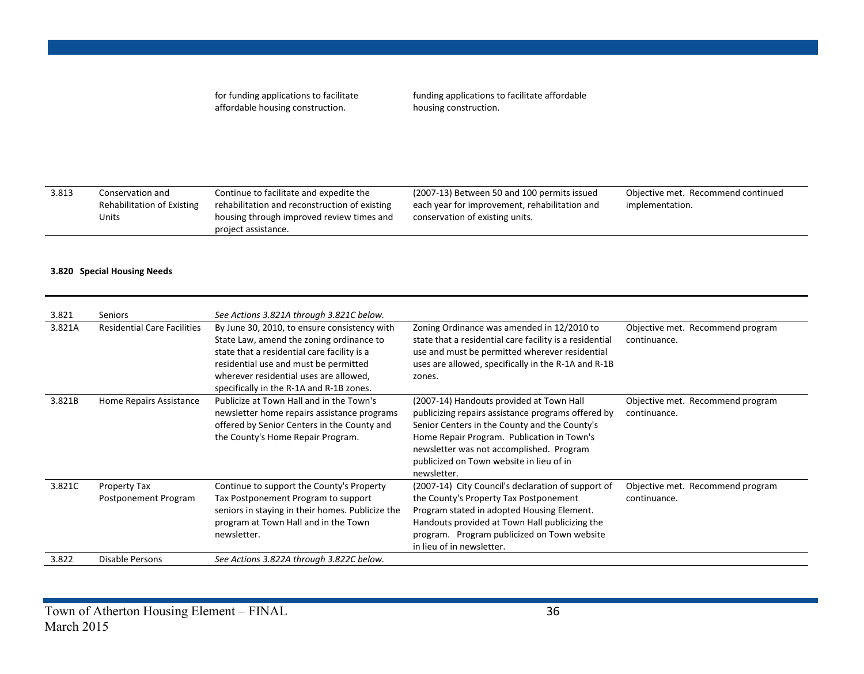for funding applications to facilitate affordable housing construction.

funding applications to facilitate affordable housing construction.

| 3.813 | Conservation and           | Continue to facilitate and expedite the       | (2007-13) Between 50 and 100 permits issued   | Objective met. Recommend continued |
|-------|----------------------------|-----------------------------------------------|-----------------------------------------------|------------------------------------|
|       | Rehabilitation of Existing | rehabilitation and reconstruction of existing | each year for improvement, rehabilitation and | implementation.                    |
|       | Units                      | housing through improved review times and     | conservation of existing units.               |                                    |
|       |                            | project assistance.                           |                                               |                                    |
|       |                            |                                               |                                               |                                    |

#### **3.820 Special Housing Needs**

| 3.821  | <b>Seniors</b>                       | See Actions 3.821A through 3.821C below.                                                                                                                                                                                                                               |                                                                                                                                                                                                                                                                                                      |                                                  |
|--------|--------------------------------------|------------------------------------------------------------------------------------------------------------------------------------------------------------------------------------------------------------------------------------------------------------------------|------------------------------------------------------------------------------------------------------------------------------------------------------------------------------------------------------------------------------------------------------------------------------------------------------|--------------------------------------------------|
| 3.821A | <b>Residential Care Facilities</b>   | By June 30, 2010, to ensure consistency with<br>State Law, amend the zoning ordinance to<br>state that a residential care facility is a<br>residential use and must be permitted<br>wherever residential uses are allowed,<br>specifically in the R-1A and R-1B zones. | Zoning Ordinance was amended in 12/2010 to<br>state that a residential care facility is a residential<br>use and must be permitted wherever residential<br>uses are allowed, specifically in the R-1A and R-1B<br>zones.                                                                             | Objective met. Recommend program<br>continuance. |
| 3.821B | Home Repairs Assistance              | Publicize at Town Hall and in the Town's<br>newsletter home repairs assistance programs<br>offered by Senior Centers in the County and<br>the County's Home Repair Program.                                                                                            | (2007-14) Handouts provided at Town Hall<br>publicizing repairs assistance programs offered by<br>Senior Centers in the County and the County's<br>Home Repair Program. Publication in Town's<br>newsletter was not accomplished. Program<br>publicized on Town website in lieu of in<br>newsletter. | Objective met. Recommend program<br>continuance. |
| 3.821C | Property Tax<br>Postponement Program | Continue to support the County's Property<br>Tax Postponement Program to support<br>seniors in staying in their homes. Publicize the<br>program at Town Hall and in the Town<br>newsletter.                                                                            | (2007-14) City Council's declaration of support of<br>the County's Property Tax Postponement<br>Program stated in adopted Housing Element.<br>Handouts provided at Town Hall publicizing the<br>program. Program publicized on Town website<br>in lieu of in newsletter.                             | Objective met. Recommend program<br>continuance. |
| 3.822  | Disable Persons                      | See Actions 3.822A through 3.822C below.                                                                                                                                                                                                                               |                                                                                                                                                                                                                                                                                                      |                                                  |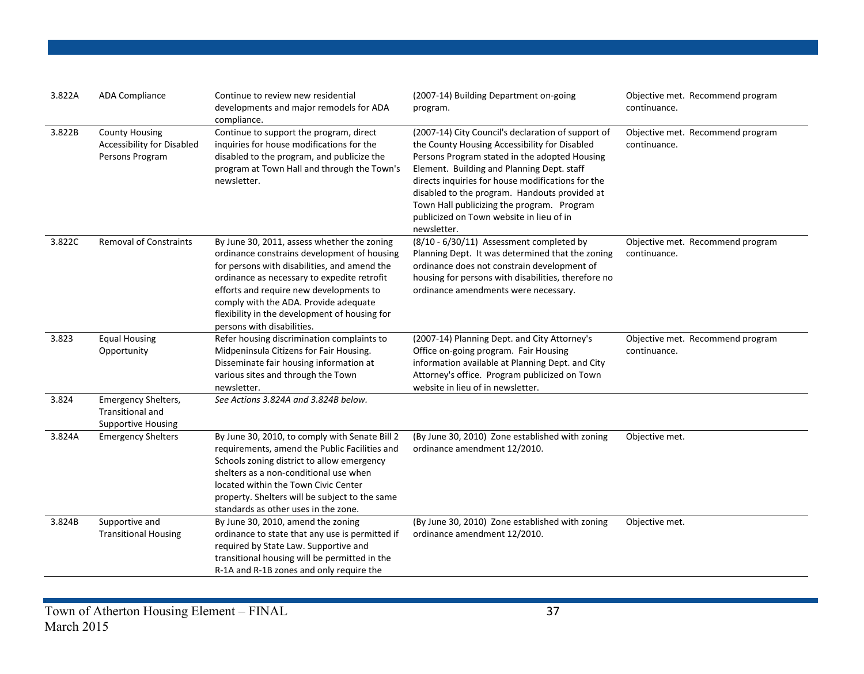| 3.822A | <b>ADA Compliance</b>                                                         | Continue to review new residential<br>developments and major remodels for ADA<br>compliance.                                                                                                                                                                                                                                                                 | (2007-14) Building Department on-going<br>program.                                                                                                                                                                                                                                                                                                                                                                | Objective met. Recommend program<br>continuance. |
|--------|-------------------------------------------------------------------------------|--------------------------------------------------------------------------------------------------------------------------------------------------------------------------------------------------------------------------------------------------------------------------------------------------------------------------------------------------------------|-------------------------------------------------------------------------------------------------------------------------------------------------------------------------------------------------------------------------------------------------------------------------------------------------------------------------------------------------------------------------------------------------------------------|--------------------------------------------------|
| 3.822B | <b>County Housing</b><br><b>Accessibility for Disabled</b><br>Persons Program | Continue to support the program, direct<br>inquiries for house modifications for the<br>disabled to the program, and publicize the<br>program at Town Hall and through the Town's<br>newsletter.                                                                                                                                                             | (2007-14) City Council's declaration of support of<br>the County Housing Accessibility for Disabled<br>Persons Program stated in the adopted Housing<br>Element. Building and Planning Dept. staff<br>directs inquiries for house modifications for the<br>disabled to the program. Handouts provided at<br>Town Hall publicizing the program. Program<br>publicized on Town website in lieu of in<br>newsletter. | Objective met. Recommend program<br>continuance. |
| 3.822C | <b>Removal of Constraints</b>                                                 | By June 30, 2011, assess whether the zoning<br>ordinance constrains development of housing<br>for persons with disabilities, and amend the<br>ordinance as necessary to expedite retrofit<br>efforts and require new developments to<br>comply with the ADA. Provide adequate<br>flexibility in the development of housing for<br>persons with disabilities. | (8/10 - 6/30/11) Assessment completed by<br>Planning Dept. It was determined that the zoning<br>ordinance does not constrain development of<br>housing for persons with disabilities, therefore no<br>ordinance amendments were necessary.                                                                                                                                                                        | Objective met. Recommend program<br>continuance. |
| 3.823  | <b>Equal Housing</b><br>Opportunity                                           | Refer housing discrimination complaints to<br>Midpeninsula Citizens for Fair Housing.<br>Disseminate fair housing information at<br>various sites and through the Town<br>newsletter.                                                                                                                                                                        | (2007-14) Planning Dept. and City Attorney's<br>Office on-going program. Fair Housing<br>information available at Planning Dept. and City<br>Attorney's office. Program publicized on Town<br>website in lieu of in newsletter.                                                                                                                                                                                   | Objective met. Recommend program<br>continuance. |
| 3.824  | Emergency Shelters,<br><b>Transitional and</b><br><b>Supportive Housing</b>   | See Actions 3.824A and 3.824B below.                                                                                                                                                                                                                                                                                                                         |                                                                                                                                                                                                                                                                                                                                                                                                                   |                                                  |
| 3.824A | <b>Emergency Shelters</b>                                                     | By June 30, 2010, to comply with Senate Bill 2<br>requirements, amend the Public Facilities and<br>Schools zoning district to allow emergency<br>shelters as a non-conditional use when<br>located within the Town Civic Center<br>property. Shelters will be subject to the same<br>standards as other uses in the zone.                                    | (By June 30, 2010) Zone established with zoning<br>ordinance amendment 12/2010.                                                                                                                                                                                                                                                                                                                                   | Objective met.                                   |
| 3.824B | Supportive and<br><b>Transitional Housing</b>                                 | By June 30, 2010, amend the zoning<br>ordinance to state that any use is permitted if<br>required by State Law. Supportive and<br>transitional housing will be permitted in the<br>R-1A and R-1B zones and only require the                                                                                                                                  | (By June 30, 2010) Zone established with zoning<br>ordinance amendment 12/2010.                                                                                                                                                                                                                                                                                                                                   | Objective met.                                   |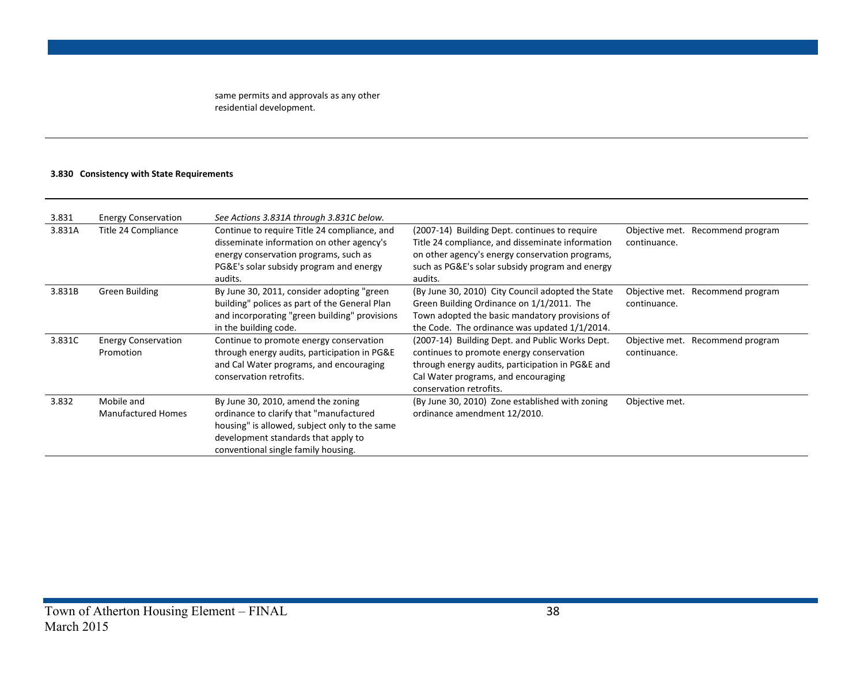same permits and approvals as any other residential development.

#### **3.830 Consistency with State Requirements**

| 3.831  | <b>Energy Conservation</b> | See Actions 3.831A through 3.831C below.      |                                                   |                                     |
|--------|----------------------------|-----------------------------------------------|---------------------------------------------------|-------------------------------------|
| 3.831A | Title 24 Compliance        | Continue to require Title 24 compliance, and  | (2007-14) Building Dept. continues to require     | Objective met. Recommend program    |
|        |                            | disseminate information on other agency's     | Title 24 compliance, and disseminate information  | continuance.                        |
|        |                            | energy conservation programs, such as         | on other agency's energy conservation programs,   |                                     |
|        |                            | PG&E's solar subsidy program and energy       | such as PG&E's solar subsidy program and energy   |                                     |
|        |                            | audits.                                       | audits.                                           |                                     |
| 3.831B | Green Building             | By June 30, 2011, consider adopting "green    | (By June 30, 2010) City Council adopted the State | Objective met.<br>Recommend program |
|        |                            | building" polices as part of the General Plan | Green Building Ordinance on 1/1/2011. The         | continuance.                        |
|        |                            | and incorporating "green building" provisions | Town adopted the basic mandatory provisions of    |                                     |
|        |                            | in the building code.                         | the Code. The ordinance was updated 1/1/2014.     |                                     |
| 3.831C | <b>Energy Conservation</b> | Continue to promote energy conservation       | (2007-14) Building Dept. and Public Works Dept.   | Objective met. Recommend program    |
|        | Promotion                  | through energy audits, participation in PG&E  | continues to promote energy conservation          | continuance.                        |
|        |                            | and Cal Water programs, and encouraging       | through energy audits, participation in PG&E and  |                                     |
|        |                            | conservation retrofits.                       | Cal Water programs, and encouraging               |                                     |
|        |                            |                                               | conservation retrofits.                           |                                     |
| 3.832  | Mobile and                 | By June 30, 2010, amend the zoning            | (By June 30, 2010) Zone established with zoning   | Objective met.                      |
|        | <b>Manufactured Homes</b>  | ordinance to clarify that "manufactured       | ordinance amendment 12/2010.                      |                                     |
|        |                            | housing" is allowed, subject only to the same |                                                   |                                     |
|        |                            | development standards that apply to           |                                                   |                                     |
|        |                            | conventional single family housing.           |                                                   |                                     |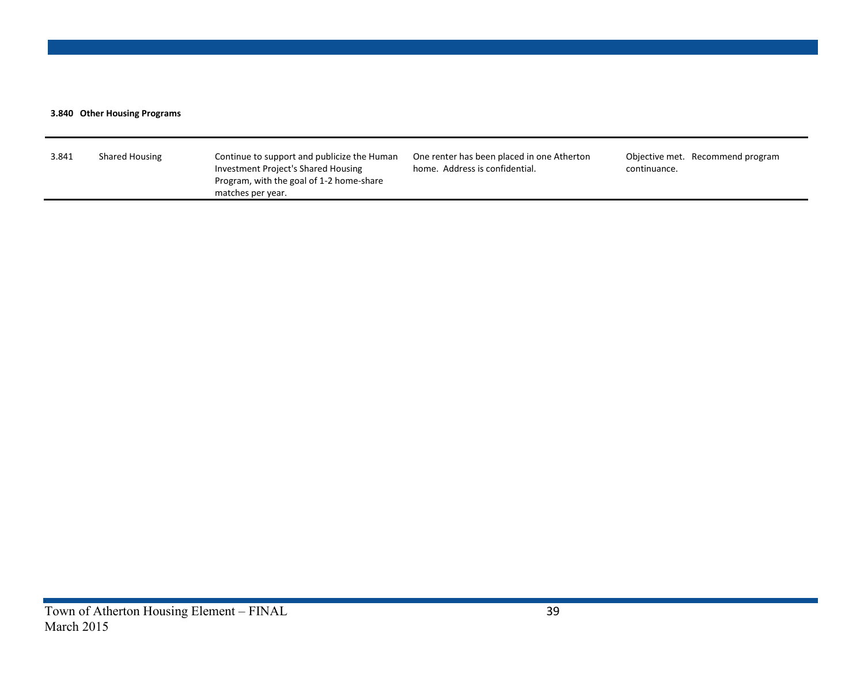#### **3.840 Other Housing Programs**

| matches per year. | 3.841 | <b>Shared Housing</b> | Continue to support and publicize the Human<br>Investment Project's Shared Housing<br>Program, with the goal of 1-2 home-share | One renter has been placed in one Atherton<br>home. Address is confidential. | Objective met. Recommend program<br>continuance. |
|-------------------|-------|-----------------------|--------------------------------------------------------------------------------------------------------------------------------|------------------------------------------------------------------------------|--------------------------------------------------|
|-------------------|-------|-----------------------|--------------------------------------------------------------------------------------------------------------------------------|------------------------------------------------------------------------------|--------------------------------------------------|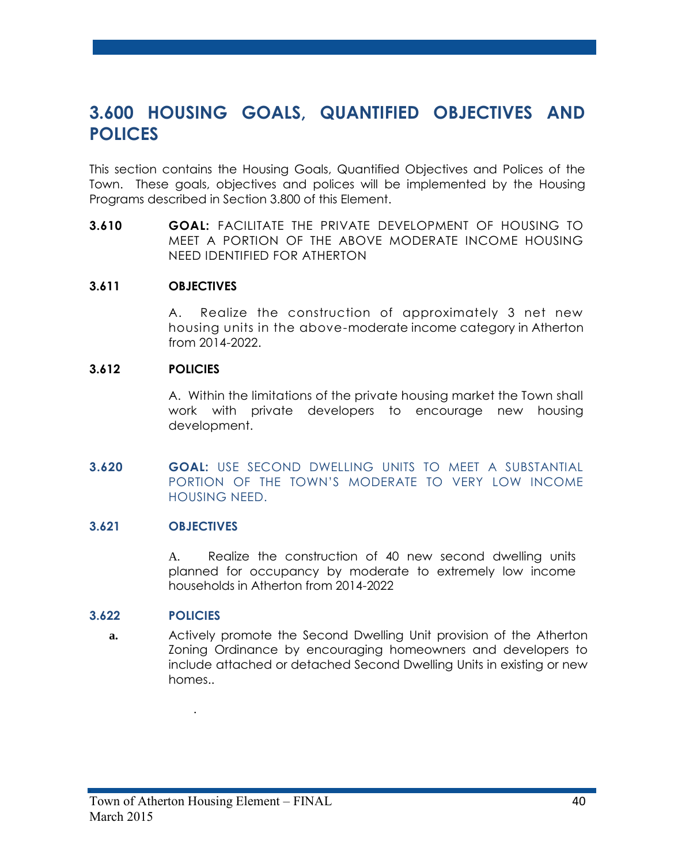# **3.600 HOUSING GOALS, QUANTIFIED OBJECTIVES AND POLICES**

This section contains the Housing Goals, Quantified Objectives and Polices of the Town. These goals, objectives and polices will be implemented by the Housing Programs described in Section 3.800 of this Element.

**3.610 GOAL:** FACILITATE THE PRIVATE DEVELOPMENT OF HOUSING TO MEET A PORTION OF THE ABOVE MODERATE INCOME HOUSING NEED IDENTIFIED FOR ATHERTON

#### **3.611 OBJECTIVES**

A. Realize the construction of approximately 3 net new housing units in the above-moderate income category in Atherton from 2014-2022.

#### **3.612 POLICIES**

A. Within the limitations of the private housing market the Town shall work with private developers to encourage new housing development.

**3.620 GOAL:** USE SECOND DWELLING UNITS TO MEET A SUBSTANTIAL PORTION OF THE TOWN'S MODERATE TO VERY LOW INCOME HOUSING NEED.

#### **3.621 OBJECTIVES**

A. Realize the construction of 40 new second dwelling units planned for occupancy by moderate to extremely low income households in Atherton from 2014-2022

#### **3.622 POLICIES**

**a.** Actively promote the Second Dwelling Unit provision of the Atherton Zoning Ordinance by encouraging homeowners and developers to include attached or detached Second Dwelling Units in existing or new homes..

.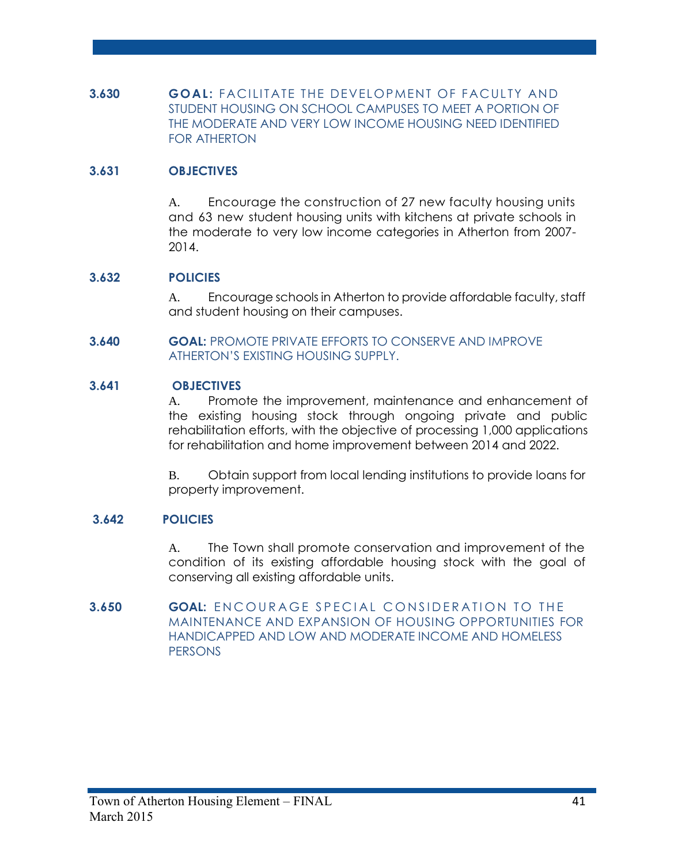**3.630 <b>GOAL:** FACILITATE THE DEVELOPMENT OF FACULTY AND STUDENT HOUSING ON SCHOOL CAMPUSES TO MEET A PORTION OF THE MODERATE AND VERY LOW INCOME HOUSING NEED IDENTIFIED FOR ATHERTON

# **3.631 OBJECTIVES**

A. Encourage the construction of 27 new faculty housing units and 63 new student housing units with kitchens at private schools in the moderate to very low income categories in Atherton from 2007- 2014.

#### **3.632 POLICIES**

A. Encourage schools in Atherton to provide affordable faculty, staff and student housing on their campuses.

**3.640 GOAL:** PROMOTE PRIVATE EFFORTS TO CONSERVE AND IMPROVE ATHERTON'S EXISTING HOUSING SUPPLY.

#### **3.641 OBJECTIVES**

A. Promote the improvement, maintenance and enhancement of the existing housing stock through ongoing private and public rehabilitation efforts, with the objective of processing 1,000 applications for rehabilitation and home improvement between 2014 and 2022.

B. Obtain support from local lending institutions to provide loans for property improvement.

#### **3.642 POLICIES**

A. The Town shall promote conservation and improvement of the condition of its existing affordable housing stock with the goal of conserving all existing affordable units.

**3.650 <b>GOAL:** ENCOURAGE SPECIAL CONSIDERATION TO THE MAINTENANCE AND EXPANSION OF HOUSING OPPORTUNITIES FOR HANDICAPPED AND LOW AND MODERATE INCOME AND HOMELESS **PERSONS**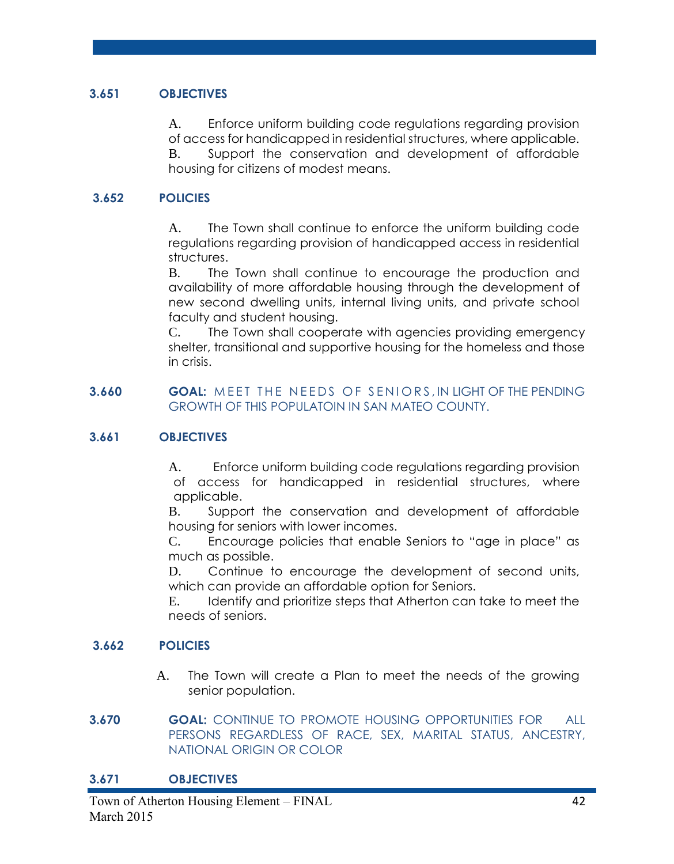#### **3.651 OBJECTIVES**

A. Enforce uniform building code regulations regarding provision of access for handicapped in residential structures, where applicable.

B. Support the conservation and development of affordable housing for citizens of modest means.

## **3.652 POLICIES**

A. The Town shall continue to enforce the uniform building code regulations regarding provision of handicapped access in residential structures.

B. The Town shall continue to encourage the production and availability of more affordable housing through the development of new second dwelling units, internal living units, and private school faculty and student housing.

C. The Town shall cooperate with agencies providing emergency shelter, transitional and supportive housing for the homeless and those in crisis.

#### **3.660 <b>GOAL:** MEET THE NEEDS OF SENIORS, IN LIGHT OF THE PENDING GROWTH OF THIS POPULATOIN IN SAN MATEO COUNTY.

#### **3.661 OBJECTIVES**

A. Enforce uniform building code regulations regarding provision of access for handicapped in residential structures, where applicable.

B. Support the conservation and development of affordable housing for seniors with lower incomes.

C. Encourage policies that enable Seniors to "age in place" as much as possible.

D. Continue to encourage the development of second units, which can provide an affordable option for Seniors.

E. Identify and prioritize steps that Atherton can take to meet the needs of seniors.

#### **3.662 POLICIES**

- A. The Town will create a Plan to meet the needs of the growing senior population.
- **3.670 GOAL:** CONTINUE TO PROMOTE HOUSING OPPORTUNITIES FOR ALL PERSONS REGARDLESS OF RACE, SEX, MARITAL STATUS, ANCESTRY, NATIONAL ORIGIN OR COLOR

#### **3.671 OBJECTIVES**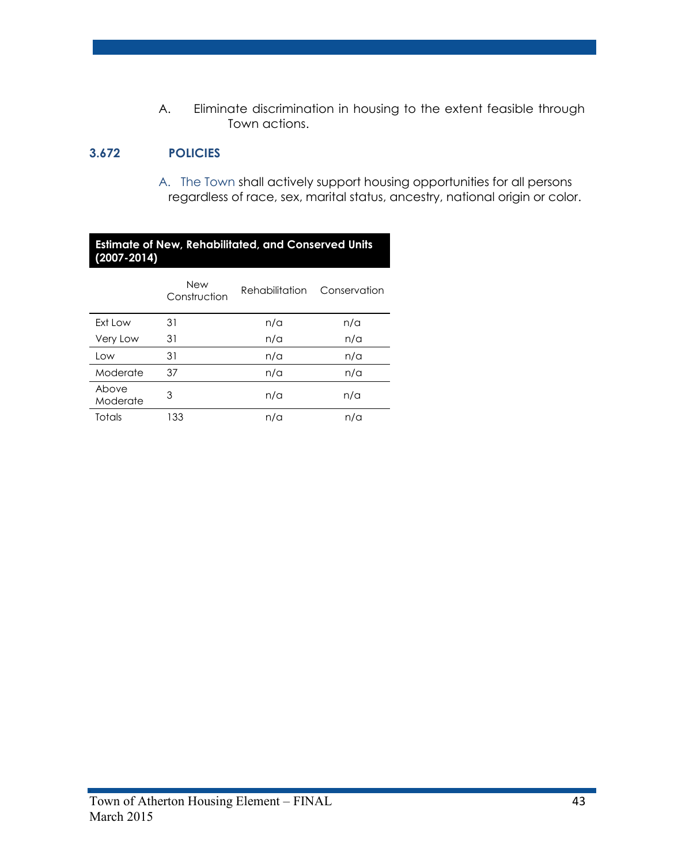A. Eliminate discrimination in housing to the extent feasible through Town actions.

# **3.672 POLICIES**

A. The Town shall actively support housing opportunities for all persons regardless of race, sex, marital status, ancestry, national origin or color.

#### **Estimate of New, Rehabilitated, and Conserved Units (2007-2014)**

|                   | <b>New</b><br>Construction | Rehabilitation | Conservation |
|-------------------|----------------------------|----------------|--------------|
| Ext Low           | 31                         | n/a            | n/a          |
| Very Low          | 31                         | n/a            | n/a          |
| Low               | 31                         | n/a            | n/a          |
| Moderate          | 37                         | n/a            | n/a          |
| Above<br>Moderate | 3                          | n/a            | n/a          |
| <b>Totals</b>     | 133                        | n/a            | n/a          |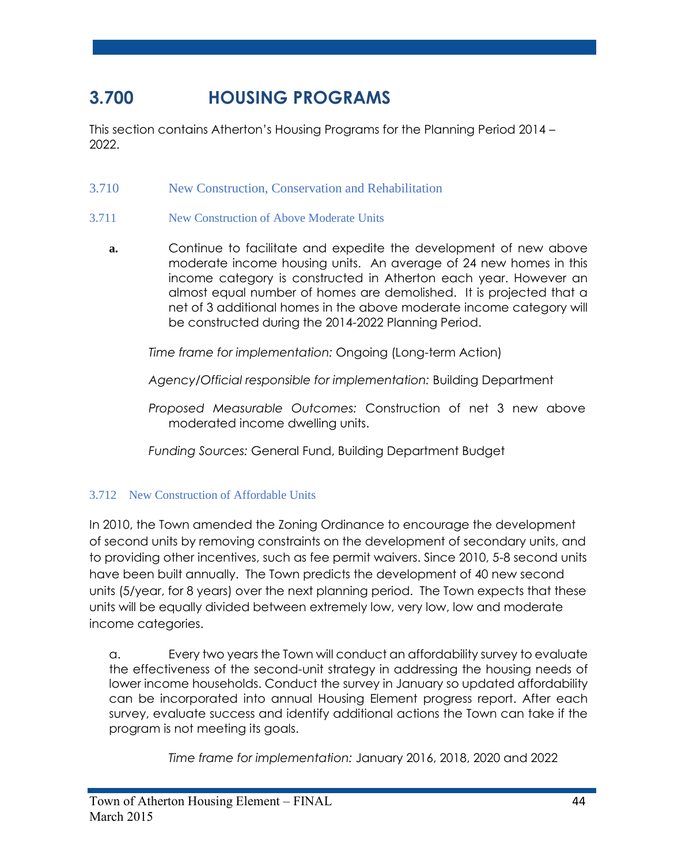# **3.700 HOUSING PROGRAMS**

This section contains Atherton's Housing Programs for the Planning Period 2014 – 2022.

3.710 New Construction, Conservation and Rehabilitation

# 3.711 New Construction of Above Moderate Units

**a.** Continue to facilitate and expedite the development of new above moderate income housing units. An average of 24 new homes in this income category is constructed in Atherton each year. However an almost equal number of homes are demolished. It is projected that a net of 3 additional homes in the above moderate income category will be constructed during the 2014-2022 Planning Period.

*Time frame for implementation:* Ongoing (Long-term Action)

*Agency/Official responsible for implementation:* Building Department

*Proposed Measurable Outcomes:* Construction of net 3 new above moderated income dwelling units.

*Funding Sources:* General Fund, Building Department Budget

# 3.712 New Construction of Affordable Units

In 2010, the Town amended the Zoning Ordinance to encourage the development of second units by removing constraints on the development of secondary units, and to providing other incentives, such as fee permit waivers. Since 2010, 5-8 second units have been built annually. The Town predicts the development of 40 new second units (5/year, for 8 years) over the next planning period. The Town expects that these units will be equally divided between extremely low, very low, low and moderate income categories.

a. Every two years the Town will conduct an affordability survey to evaluate the effectiveness of the second-unit strategy in addressing the housing needs of lower income households. Conduct the survey in January so updated affordability can be incorporated into annual Housing Element progress report. After each survey, evaluate success and identify additional actions the Town can take if the program is not meeting its goals.

*Time frame for implementation:* January 2016, 2018, 2020 and 2022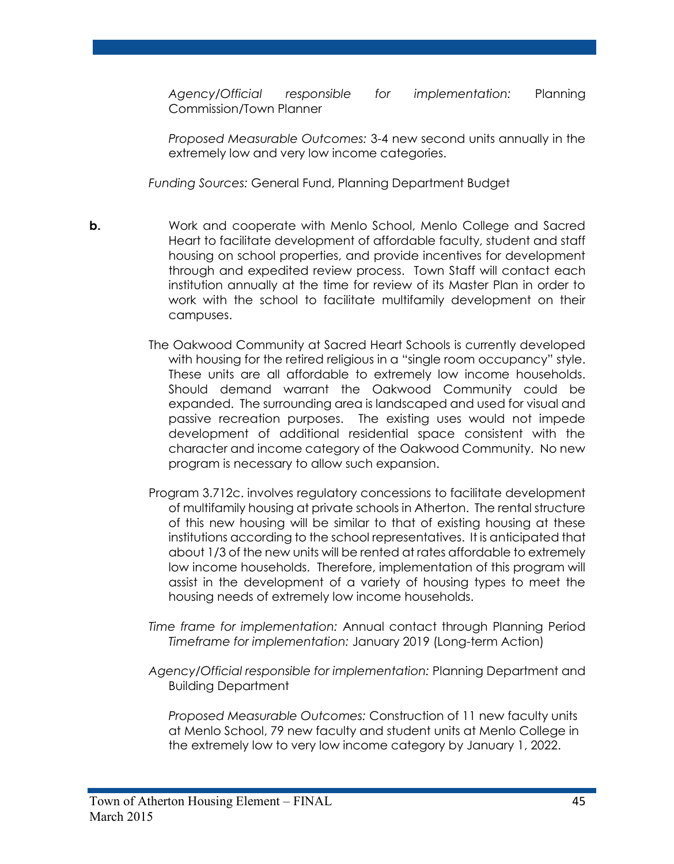*Agency/Official responsible for implementation:* Planning Commission/Town Planner

*Proposed Measurable Outcomes:* 3-4 new second units annually in the extremely low and very low income categories.

*Funding Sources:* General Fund, Planning Department Budget

- **b.** Work and cooperate with Menlo School, Menlo College and Sacred Heart to facilitate development of affordable faculty, student and staff housing on school properties, and provide incentives for development through and expedited review process. Town Staff will contact each institution annually at the time for review of its Master Plan in order to work with the school to facilitate multifamily development on their campuses.
	- The Oakwood Community at Sacred Heart Schools is currently developed with housing for the retired religious in a "single room occupancy" style. These units are all affordable to extremely low income households. Should demand warrant the Oakwood Community could be expanded. The surrounding area is landscaped and used for visual and passive recreation purposes. The existing uses would not impede development of additional residential space consistent with the character and income category of the Oakwood Community. No new program is necessary to allow such expansion.
	- Program 3.712c. involves regulatory concessions to facilitate development of multifamily housing at private schools in Atherton. The rental structure of this new housing will be similar to that of existing housing at these institutions according to the school representatives. It is anticipated that about 1/3 of the new units will be rented at rates affordable to extremely low income households. Therefore, implementation of this program will assist in the development of a variety of housing types to meet the housing needs of extremely low income households.
	- *Time frame for implementation:* Annual contact through Planning Period *Timeframe for implementation:* January 2019 (Long-term Action)
	- *Agency/Official responsible for implementation:* Planning Department and Building Department

*Proposed Measurable Outcomes:* Construction of 11 new faculty units at Menlo School, 79 new faculty and student units at Menlo College in the extremely low to very low income category by January 1, 2022.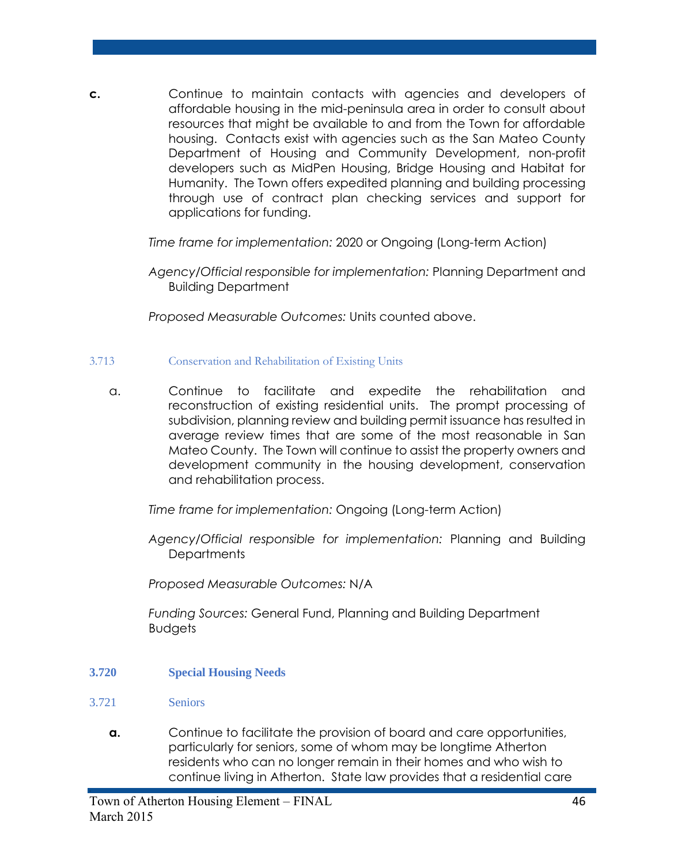**c.** Continue to maintain contacts with agencies and developers of affordable housing in the mid-peninsula area in order to consult about resources that might be available to and from the Town for affordable housing. Contacts exist with agencies such as the San Mateo County Department of Housing and Community Development, non-profit developers such as MidPen Housing, Bridge Housing and Habitat for Humanity. The Town offers expedited planning and building processing through use of contract plan checking services and support for applications for funding.

*Time frame for implementation:* 2020 or Ongoing (Long-term Action)

*Agency/Official responsible for implementation:* Planning Department and Building Department

*Proposed Measurable Outcomes:* Units counted above.

- 3.713 Conservation and Rehabilitation of Existing Units
	- a. Continue to facilitate and expedite the rehabilitation and reconstruction of existing residential units. The prompt processing of subdivision, planning review and building permit issuance has resulted in average review times that are some of the most reasonable in San Mateo County. The Town will continue to assist the property owners and development community in the housing development, conservation and rehabilitation process.

*Time frame for implementation:* Ongoing (Long-term Action)

*Agency/Official responsible for implementation:* Planning and Building **Departments** 

*Proposed Measurable Outcomes:* N/A

*Funding Sources:* General Fund, Planning and Building Department Budgets

- **3.720 Special Housing Needs**
- 3.721 Seniors
	- **a.** Continue to facilitate the provision of board and care opportunities, particularly for seniors, some of whom may be longtime Atherton residents who can no longer remain in their homes and who wish to continue living in Atherton. State law provides that a residential care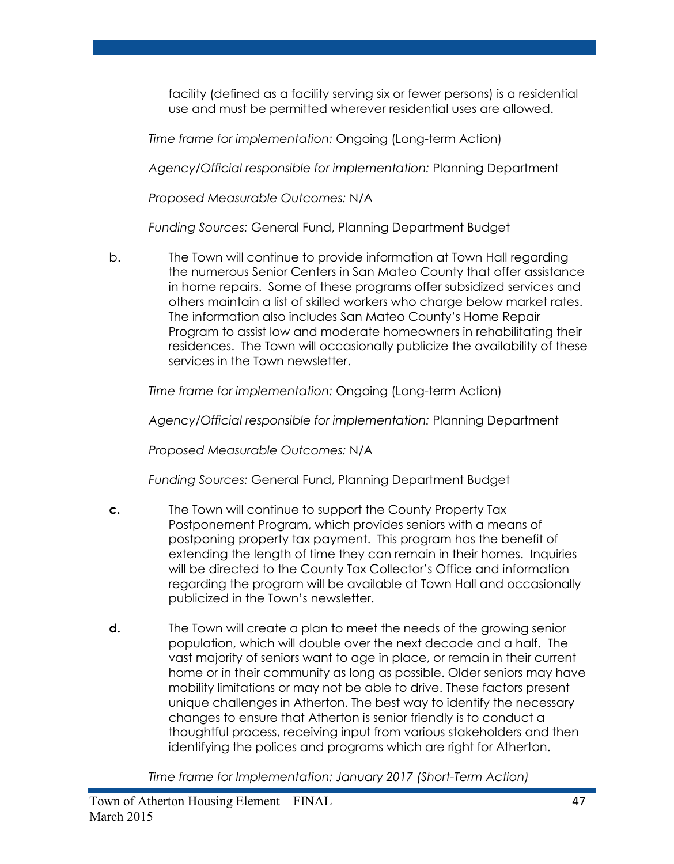facility (defined as a facility serving six or fewer persons) is a residential use and must be permitted wherever residential uses are allowed.

*Time frame for implementation:* Ongoing (Long-term Action)

*Agency/Official responsible for implementation:* Planning Department

*Proposed Measurable Outcomes:* N/A

*Funding Sources:* General Fund, Planning Department Budget

b. The Town will continue to provide information at Town Hall regarding the numerous Senior Centers in San Mateo County that offer assistance in home repairs. Some of these programs offer subsidized services and others maintain a list of skilled workers who charge below market rates. The information also includes San Mateo County's Home Repair Program to assist low and moderate homeowners in rehabilitating their residences. The Town will occasionally publicize the availability of these services in the Town newsletter.

*Time frame for implementation:* Ongoing (Long-term Action)

*Agency/Official responsible for implementation:* Planning Department

*Proposed Measurable Outcomes:* N/A

*Funding Sources:* General Fund, Planning Department Budget

- **c.** The Town will continue to support the County Property Tax Postponement Program, which provides seniors with a means of postponing property tax payment. This program has the benefit of extending the length of time they can remain in their homes. Inquiries will be directed to the County Tax Collector's Office and information regarding the program will be available at Town Hall and occasionally publicized in the Town's newsletter.
- **d.** The Town will create a plan to meet the needs of the growing senior population, which will double over the next decade and a half.The vast majority of seniors want to age in place, or remain in their current home or in their community as long as possible. Older seniors may have mobility limitations or may not be able to drive. These factors present unique challenges in Atherton. The best way to identify the necessary changes to ensure that Atherton is senior friendly is to conduct a thoughtful process, receiving input from various stakeholders and then identifying the polices and programs which are right for Atherton.

*Time frame for Implementation: January 2017 (Short-Term Action)*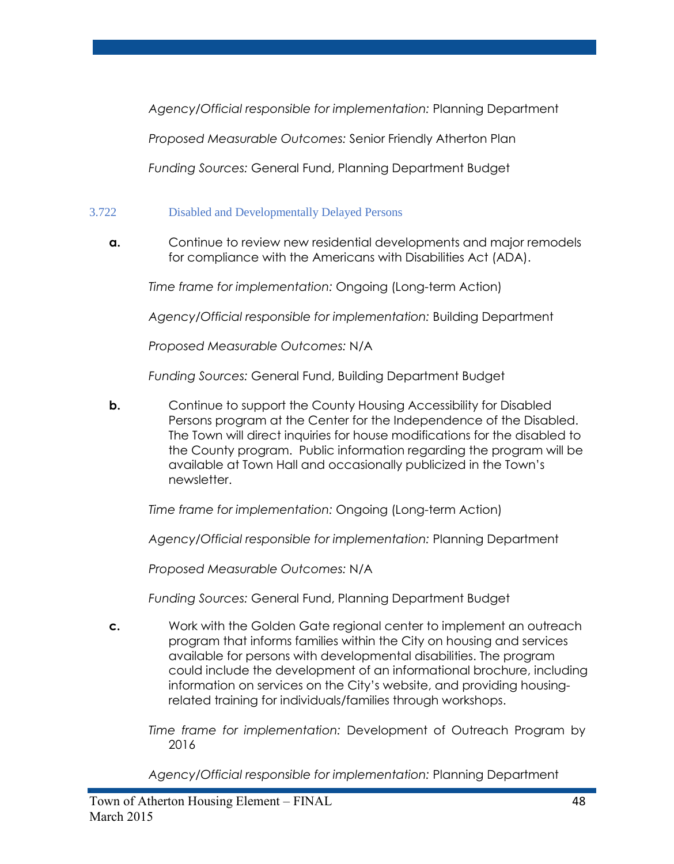*Agency/Official responsible for implementation:* Planning Department

*Proposed Measurable Outcomes:* Senior Friendly Atherton Plan

*Funding Sources:* General Fund, Planning Department Budget

# 3.722 Disabled and Developmentally Delayed Persons

**a.** Continue to review new residential developments and major remodels for compliance with the Americans with Disabilities Act (ADA).

*Time frame for implementation:* Ongoing (Long-term Action)

*Agency/Official responsible for implementation:* Building Department

*Proposed Measurable Outcomes:* N/A

*Funding Sources:* General Fund, Building Department Budget

**b.** Continue to support the County Housing Accessibility for Disabled Persons program at the Center for the Independence of the Disabled. The Town will direct inquiries for house modifications for the disabled to the County program. Public information regarding the program will be available at Town Hall and occasionally publicized in the Town's newsletter.

*Time frame for implementation:* Ongoing (Long-term Action)

*Agency/Official responsible for implementation:* Planning Department

*Proposed Measurable Outcomes:* N/A

*Funding Sources:* General Fund, Planning Department Budget

- **c.** Work with the Golden Gate regional center to implement an outreach program that informs families within the City on housing and services available for persons with developmental disabilities. The program could include the development of an informational brochure, including information on services on the City's website, and providing housingrelated training for individuals/families through workshops.
	- *Time frame for implementation:* Development of Outreach Program by 2016

*Agency/Official responsible for implementation:* Planning Department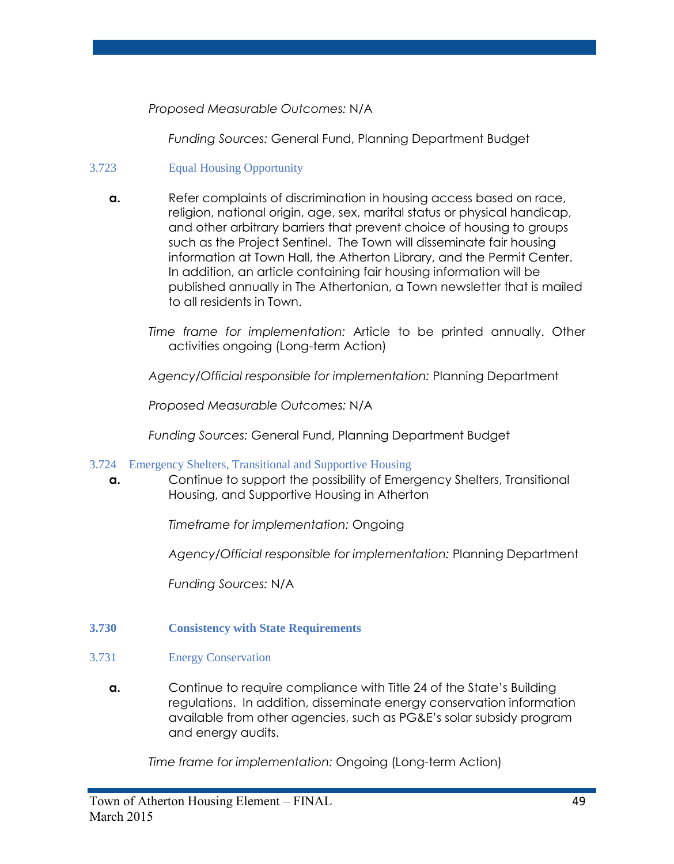*Proposed Measurable Outcomes:* N/A

*Funding Sources:* General Fund, Planning Department Budget

# 3.723 Equal Housing Opportunity

- **a.** Refer complaints of discrimination in housing access based on race, religion, national origin, age, sex, marital status or physical handicap, and other arbitrary barriers that prevent choice of housing to groups such as the Project Sentinel. The Town will disseminate fair housing information at Town Hall, the Atherton Library, and the Permit Center. In addition, an article containing fair housing information will be published annually in The Athertonian, a Town newsletter that is mailed to all residents in Town.
	- *Time frame for implementation:* Article to be printed annually. Other activities ongoing (Long-term Action)

*Agency/Official responsible for implementation:* Planning Department

*Proposed Measurable Outcomes:* N/A

*Funding Sources:* General Fund, Planning Department Budget

# 3.724 Emergency Shelters, Transitional and Supportive Housing

**a.** Continue to support the possibility of Emergency Shelters, Transitional Housing, and Supportive Housing in Atherton

*Timeframe for implementation:* Ongoing

*Agency/Official responsible for implementation:* Planning Department

*Funding Sources:* N/A

# **3.730 Consistency with State Requirements**

#### 3.731 Energy Conservation

**a.** Continue to require compliance with Title 24 of the State's Building regulations. In addition, disseminate energy conservation information available from other agencies, such as PG&E's solar subsidy program and energy audits.

*Time frame for implementation:* Ongoing (Long-term Action)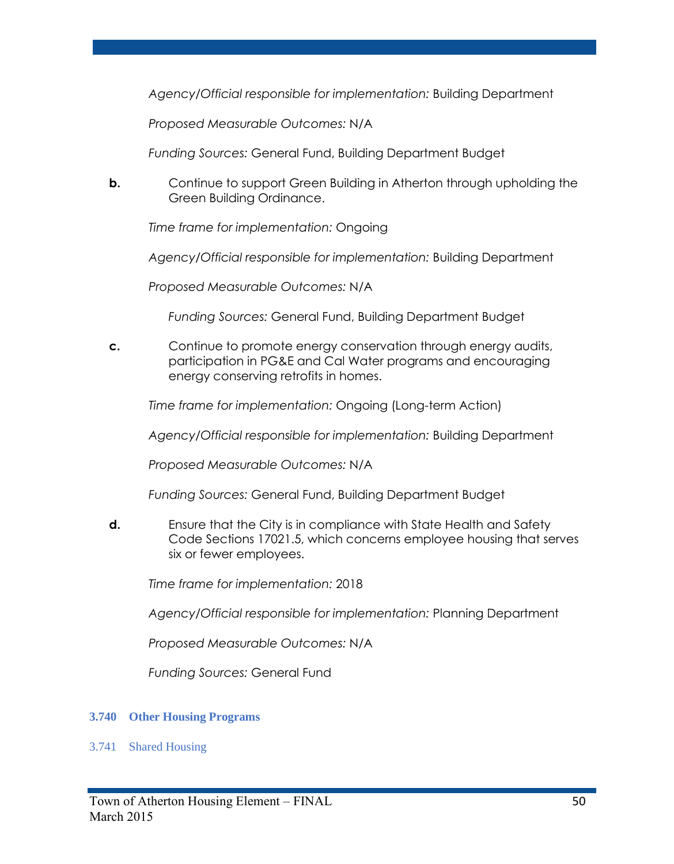*Agency/Official responsible for implementation:* Building Department

*Proposed Measurable Outcomes:* N/A

*Funding Sources:* General Fund, Building Department Budget

**b.** Continue to support Green Building in Atherton through upholding the Green Building Ordinance.

*Time frame for implementation:* Ongoing

*Agency/Official responsible for implementation:* Building Department

*Proposed Measurable Outcomes:* N/A

*Funding Sources:* General Fund, Building Department Budget

**c.** Continue to promote energy conservation through energy audits, participation in PG&E and Cal Water programs and encouraging energy conserving retrofits in homes.

*Time frame for implementation:* Ongoing (Long-term Action)

*Agency/Official responsible for implementation:* Building Department

*Proposed Measurable Outcomes:* N/A

*Funding Sources:* General Fund, Building Department Budget

**d.** Ensure that the City is in compliance with State Health and Safety Code Sections 17021.5, which concerns employee housing that serves six or fewer employees.

*Time frame for implementation:* 2018

*Agency/Official responsible for implementation:* Planning Department

*Proposed Measurable Outcomes:* N/A

*Funding Sources:* General Fund

#### **3.740 Other Housing Programs**

3.741 Shared Housing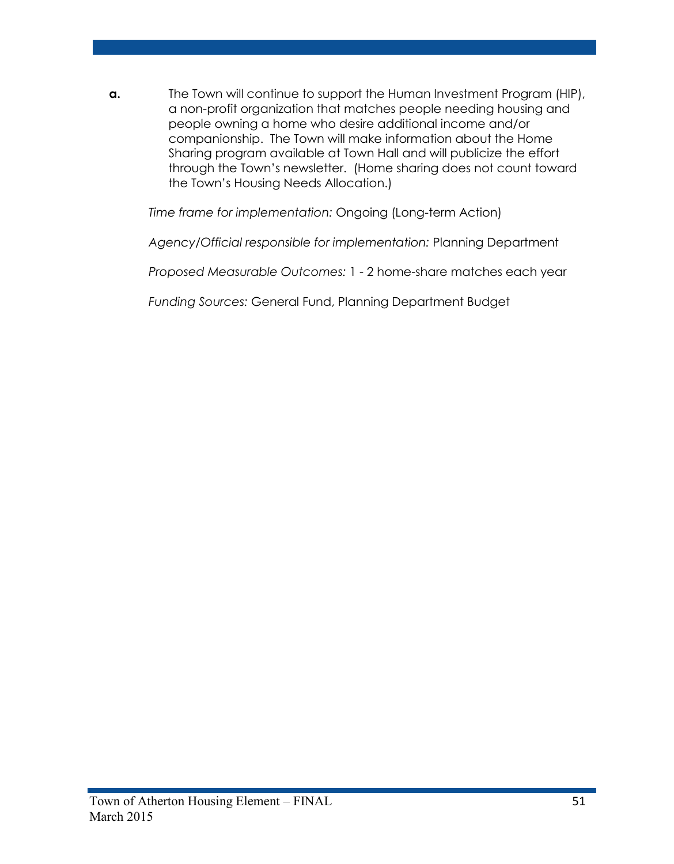**a.** The Town will continue to support the Human Investment Program (HIP), a non-profit organization that matches people needing housing and people owning a home who desire additional income and/or companionship. The Town will make information about the Home Sharing program available at Town Hall and will publicize the effort through the Town's newsletter. (Home sharing does not count toward the Town's Housing Needs Allocation.)

*Time frame for implementation:* Ongoing (Long-term Action)

*Agency/Official responsible for implementation:* Planning Department

*Proposed Measurable Outcomes:* 1 - 2 home-share matches each year

*Funding Sources:* General Fund, Planning Department Budget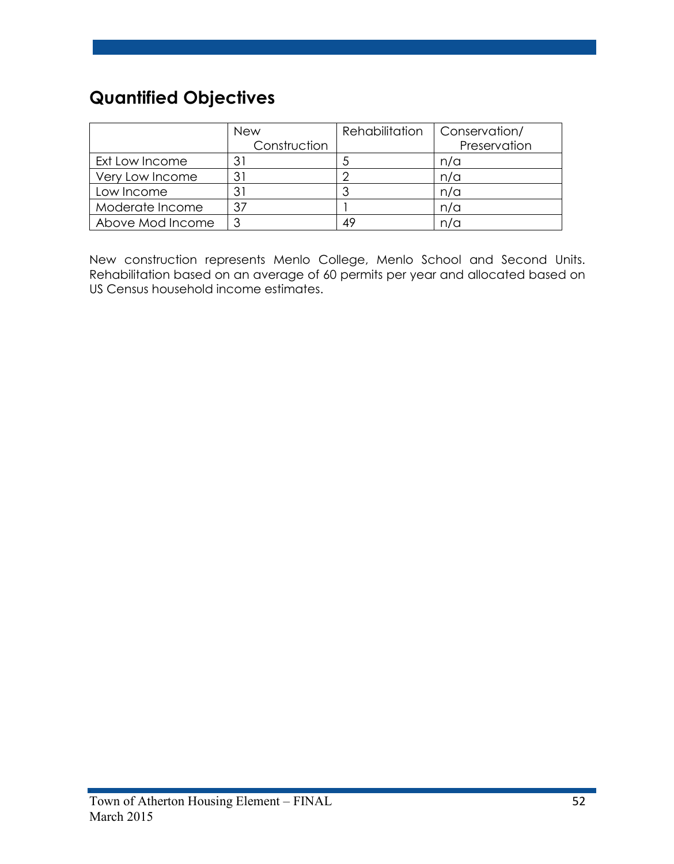# **Quantified Objectives**

|                  | <b>New</b>   | Rehabilitation | Conservation/ |
|------------------|--------------|----------------|---------------|
|                  | Construction |                | Preservation  |
| Ext Low Income   |              | C              | n/a           |
| Very Low Income  | 31           |                | n/a           |
| Low Income       | 31           |                | n/a           |
| Moderate Income  | 37           |                | n/a           |
| Above Mod Income |              | 49             | n/a           |

New construction represents Menlo College, Menlo School and Second Units. Rehabilitation based on an average of 60 permits per year and allocated based on US Census household income estimates.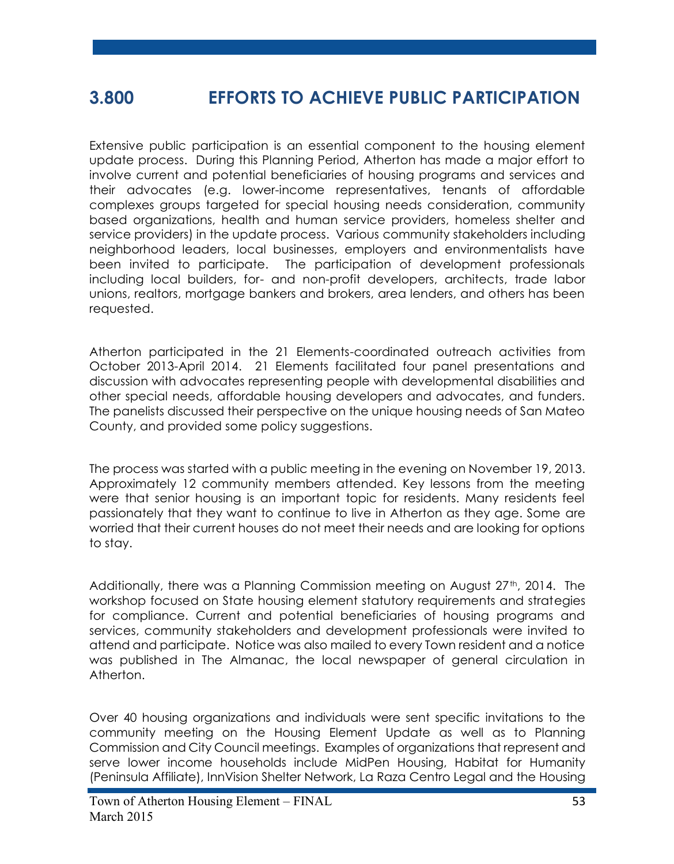# **3.800 EFFORTS TO ACHIEVE PUBLIC PARTICIPATION**

Extensive public participation is an essential component to the housing element update process. During this Planning Period, Atherton has made a major effort to involve current and potential beneficiaries of housing programs and services and their advocates (e.g. lower-income representatives, tenants of affordable complexes groups targeted for special housing needs consideration, community based organizations, health and human service providers, homeless shelter and service providers) in the update process. Various community stakeholders including neighborhood leaders, local businesses, employers and environmentalists have been invited to participate. The participation of development professionals including local builders, for- and non-profit developers, architects, trade labor unions, realtors, mortgage bankers and brokers, area lenders, and others has been requested.

Atherton participated in the 21 Elements-coordinated outreach activities from October 2013-April 2014. 21 Elements facilitated four panel presentations and discussion with advocates representing people with developmental disabilities and other special needs, affordable housing developers and advocates, and funders. The panelists discussed their perspective on the unique housing needs of San Mateo County, and provided some policy suggestions.

The process was started with a public meeting in the evening on November 19, 2013. Approximately 12 community members attended. Key lessons from the meeting were that senior housing is an important topic for residents. Many residents feel passionately that they want to continue to live in Atherton as they age. Some are worried that their current houses do not meet their needs and are looking for options to stay.

Additionally, there was a Planning Commission meeting on August 27<sup>th</sup>, 2014. The workshop focused on State housing element statutory requirements and strategies for compliance. Current and potential beneficiaries of housing programs and services, community stakeholders and development professionals were invited to attend and participate. Notice was also mailed to every Town resident and a notice was published in The Almanac, the local newspaper of general circulation in Atherton.

Over 40 housing organizations and individuals were sent specific invitations to the community meeting on the Housing Element Update as well as to Planning Commission and City Council meetings. Examples of organizations that represent and serve lower income households include MidPen Housing, Habitat for Humanity (Peninsula Affiliate), InnVision Shelter Network, La Raza Centro Legal and the Housing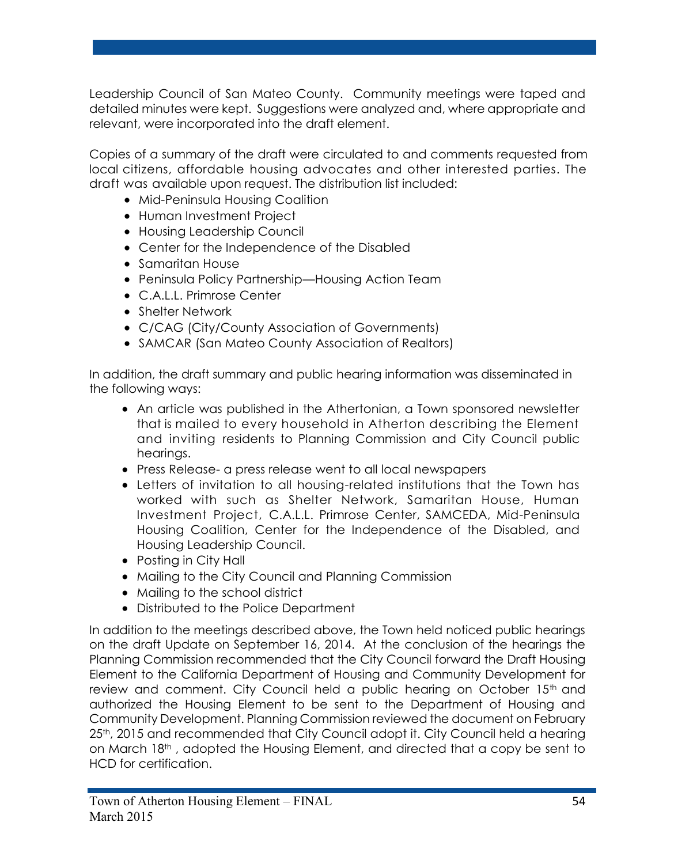Leadership Council of San Mateo County. Community meetings were taped and detailed minutes were kept. Suggestions were analyzed and, where appropriate and relevant, were incorporated into the draft element.

Copies of a summary of the draft were circulated to and comments requested from local citizens, affordable housing advocates and other interested parties. The draft was available upon request. The distribution list included:

- Mid-Peninsula Housing Coalition
- Human Investment Project
- Housing Leadership Council
- Center for the Independence of the Disabled
- Samaritan House
- Peninsula Policy Partnership—Housing Action Team
- C.A.L.L. Primrose Center
- Shelter Network
- C/CAG (City/County Association of Governments)
- SAMCAR (San Mateo County Association of Realtors)

In addition, the draft summary and public hearing information was disseminated in the following ways:

- An article was published in the Athertonian, a Town sponsored newsletter that is mailed to every household in Atherton describing the Element and inviting residents to Planning Commission and City Council public hearings.
- Press Release- a press release went to all local newspapers
- Letters of invitation to all housing-related institutions that the Town has worked with such as Shelter Network, Samaritan House, Human Investment Project, C.A.L.L. Primrose Center, SAMCEDA, Mid-Peninsula Housing Coalition, Center for the Independence of the Disabled, and Housing Leadership Council.
- Posting in City Hall
- Mailing to the City Council and Planning Commission
- Mailing to the school district
- Distributed to the Police Department

In addition to the meetings described above, the Town held noticed public hearings on the draft Update on September 16, 2014. At the conclusion of the hearings the Planning Commission recommended that the City Council forward the Draft Housing Element to the California Department of Housing and Community Development for review and comment. City Council held a public hearing on October 15<sup>th</sup> and authorized the Housing Element to be sent to the Department of Housing and Community Development. Planning Commission reviewed the document on February 25<sup>th</sup>, 2015 and recommended that City Council adopt it. City Council held a hearing on March 18th, adopted the Housing Element, and directed that a copy be sent to HCD for certification.